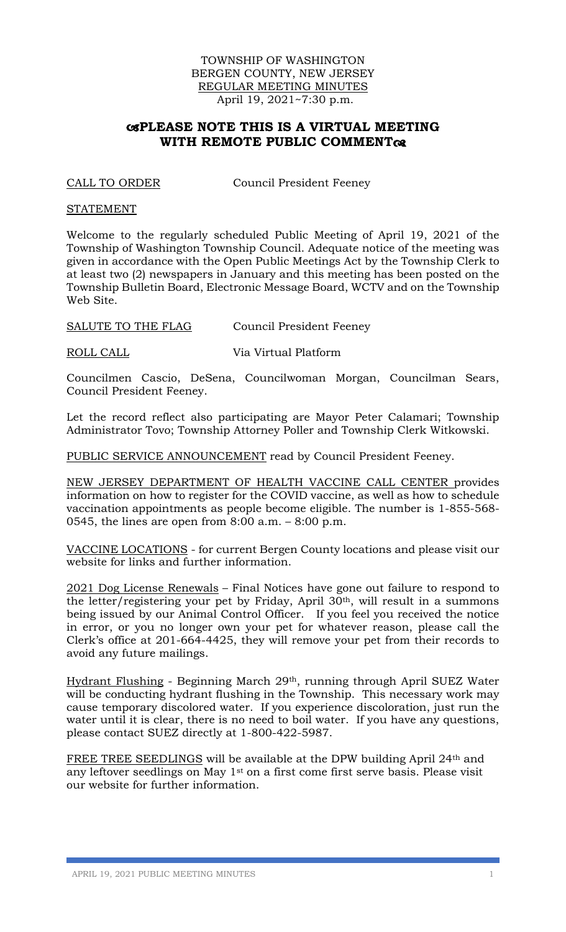## TOWNSHIP OF WASHINGTON BERGEN COUNTY, NEW JERSEY REGULAR MEETING MINUTES April 19, 2021~7:30 p.m.

## **PLEASE NOTE THIS IS A VIRTUAL MEETING WITH REMOTE PUBLIC COMMENT**

CALL TO ORDER Council President Feeney

#### **STATEMENT**

Welcome to the regularly scheduled Public Meeting of April 19, 2021 of the Township of Washington Township Council. Adequate notice of the meeting was given in accordance with the Open Public Meetings Act by the Township Clerk to at least two (2) newspapers in January and this meeting has been posted on the Township Bulletin Board, Electronic Message Board, WCTV and on the Township Web Site.

SALUTE TO THE FLAG Council President Feeney

ROLL CALL Via Virtual Platform

Councilmen Cascio, DeSena, Councilwoman Morgan, Councilman Sears, Council President Feeney.

Let the record reflect also participating are Mayor Peter Calamari; Township Administrator Tovo; Township Attorney Poller and Township Clerk Witkowski.

PUBLIC SERVICE ANNOUNCEMENT read by Council President Feeney.

NEW JERSEY DEPARTMENT OF HEALTH VACCINE CALL CENTER provides information on how to register for the COVID vaccine, as well as how to schedule vaccination appointments as people become eligible. The number is 1-855-568- 0545, the lines are open from  $8:00$  a.m.  $-8:00$  p.m.

VACCINE LOCATIONS - for current Bergen County locations and please visit our website for links and further information.

2021 Dog License Renewals – Final Notices have gone out failure to respond to the letter/registering your pet by Friday, April 30th, will result in a summons being issued by our Animal Control Officer. If you feel you received the notice in error, or you no longer own your pet for whatever reason, please call the Clerk's office at 201-664-4425, they will remove your pet from their records to avoid any future mailings.

Hydrant Flushing - Beginning March 29th, running through April SUEZ Water will be conducting hydrant flushing in the Township. This necessary work may cause temporary discolored water. If you experience discoloration, just run the water until it is clear, there is no need to boil water. If you have any questions, please contact SUEZ directly at 1-800-422-5987.

FREE TREE SEEDLINGS will be available at the DPW building April 24<sup>th</sup> and any leftover seedlings on May 1st on a first come first serve basis. Please visit our website for further information.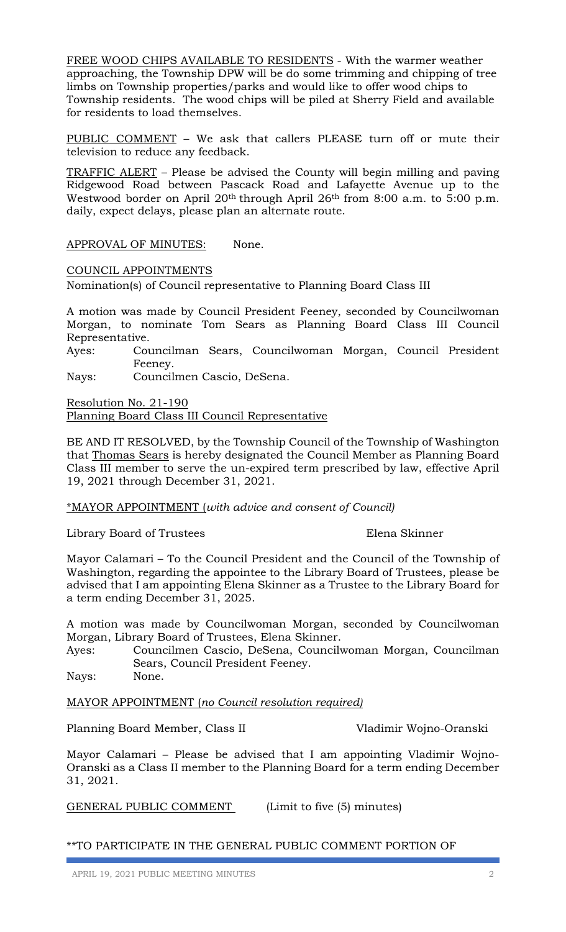FREE WOOD CHIPS AVAILABLE TO RESIDENTS - With the warmer weather approaching, the Township DPW will be do some trimming and chipping of tree limbs on Township properties/parks and would like to offer wood chips to Township residents. The wood chips will be piled at Sherry Field and available for residents to load themselves.

PUBLIC COMMENT – We ask that callers PLEASE turn off or mute their television to reduce any feedback.

TRAFFIC ALERT – Please be advised the County will begin milling and paving Ridgewood Road between Pascack Road and Lafayette Avenue up to the Westwood border on April 20<sup>th</sup> through April 26<sup>th</sup> from 8:00 a.m. to 5:00 p.m. daily, expect delays, please plan an alternate route.

APPROVAL OF MINUTES: None.

COUNCIL APPOINTMENTS

Nomination(s) of Council representative to Planning Board Class III

A motion was made by Council President Feeney, seconded by Councilwoman Morgan, to nominate Tom Sears as Planning Board Class III Council Representative.

Ayes: Councilman Sears, Councilwoman Morgan, Council President Feeney.

Nays: Councilmen Cascio, DeSena.

Resolution No. 21-190 Planning Board Class III Council Representative

BE AND IT RESOLVED, by the Township Council of the Township of Washington that Thomas Sears is hereby designated the Council Member as Planning Board Class III member to serve the un-expired term prescribed by law, effective April 19, 2021 through December 31, 2021.

\*MAYOR APPOINTMENT (*with advice and consent of Council)*

Library Board of Trustees Elena Skinner

Mayor Calamari – To the Council President and the Council of the Township of Washington, regarding the appointee to the Library Board of Trustees, please be advised that I am appointing Elena Skinner as a Trustee to the Library Board for a term ending December 31, 2025.

A motion was made by Councilwoman Morgan, seconded by Councilwoman Morgan, Library Board of Trustees, Elena Skinner.

Ayes: Councilmen Cascio, DeSena, Councilwoman Morgan, Councilman Sears, Council President Feeney.

Nays: None.

MAYOR APPOINTMENT (*no Council resolution required)*

Planning Board Member, Class II Vladimir Wojno-Oranski

Mayor Calamari – Please be advised that I am appointing Vladimir Wojno-Oranski as a Class II member to the Planning Board for a term ending December 31, 2021.

GENERAL PUBLIC COMMENT (Limit to five (5) minutes)

\*\*TO PARTICIPATE IN THE GENERAL PUBLIC COMMENT PORTION OF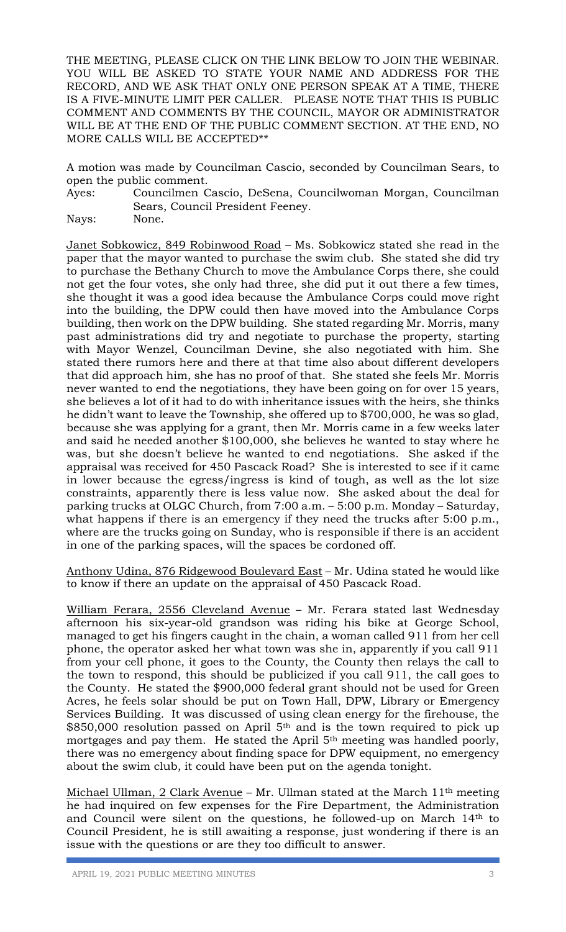THE MEETING, PLEASE CLICK ON THE LINK BELOW TO JOIN THE WEBINAR. YOU WILL BE ASKED TO STATE YOUR NAME AND ADDRESS FOR THE RECORD, AND WE ASK THAT ONLY ONE PERSON SPEAK AT A TIME, THERE IS A FIVE-MINUTE LIMIT PER CALLER. PLEASE NOTE THAT THIS IS PUBLIC COMMENT AND COMMENTS BY THE COUNCIL, MAYOR OR ADMINISTRATOR WILL BE AT THE END OF THE PUBLIC COMMENT SECTION. AT THE END, NO MORE CALLS WILL BE ACCEPTED\*\*

A motion was made by Councilman Cascio, seconded by Councilman Sears, to open the public comment.

Ayes: Councilmen Cascio, DeSena, Councilwoman Morgan, Councilman Sears, Council President Feeney.

Nays: None.

Janet Sobkowicz, 849 Robinwood Road – Ms. Sobkowicz stated she read in the paper that the mayor wanted to purchase the swim club. She stated she did try to purchase the Bethany Church to move the Ambulance Corps there, she could not get the four votes, she only had three, she did put it out there a few times, she thought it was a good idea because the Ambulance Corps could move right into the building, the DPW could then have moved into the Ambulance Corps building, then work on the DPW building. She stated regarding Mr. Morris, many past administrations did try and negotiate to purchase the property, starting with Mayor Wenzel, Councilman Devine, she also negotiated with him. She stated there rumors here and there at that time also about different developers that did approach him, she has no proof of that. She stated she feels Mr. Morris never wanted to end the negotiations, they have been going on for over 15 years, she believes a lot of it had to do with inheritance issues with the heirs, she thinks he didn't want to leave the Township, she offered up to \$700,000, he was so glad, because she was applying for a grant, then Mr. Morris came in a few weeks later and said he needed another \$100,000, she believes he wanted to stay where he was, but she doesn't believe he wanted to end negotiations. She asked if the appraisal was received for 450 Pascack Road? She is interested to see if it came in lower because the egress/ingress is kind of tough, as well as the lot size constraints, apparently there is less value now. She asked about the deal for parking trucks at OLGC Church, from 7:00 a.m. – 5:00 p.m. Monday – Saturday, what happens if there is an emergency if they need the trucks after 5:00 p.m., where are the trucks going on Sunday, who is responsible if there is an accident in one of the parking spaces, will the spaces be cordoned off.

Anthony Udina, 876 Ridgewood Boulevard East – Mr. Udina stated he would like to know if there an update on the appraisal of 450 Pascack Road.

William Ferara, 2556 Cleveland Avenue – Mr. Ferara stated last Wednesday afternoon his six-year-old grandson was riding his bike at George School, managed to get his fingers caught in the chain, a woman called 911 from her cell phone, the operator asked her what town was she in, apparently if you call 911 from your cell phone, it goes to the County, the County then relays the call to the town to respond, this should be publicized if you call 911, the call goes to the County. He stated the \$900,000 federal grant should not be used for Green Acres, he feels solar should be put on Town Hall, DPW, Library or Emergency Services Building. It was discussed of using clean energy for the firehouse, the \$850,000 resolution passed on April 5th and is the town required to pick up mortgages and pay them. He stated the April 5<sup>th</sup> meeting was handled poorly, there was no emergency about finding space for DPW equipment, no emergency about the swim club, it could have been put on the agenda tonight.

Michael Ullman, 2 Clark Avenue – Mr. Ullman stated at the March  $11<sup>th</sup>$  meeting he had inquired on few expenses for the Fire Department, the Administration and Council were silent on the questions, he followed-up on March 14th to Council President, he is still awaiting a response, just wondering if there is an issue with the questions or are they too difficult to answer.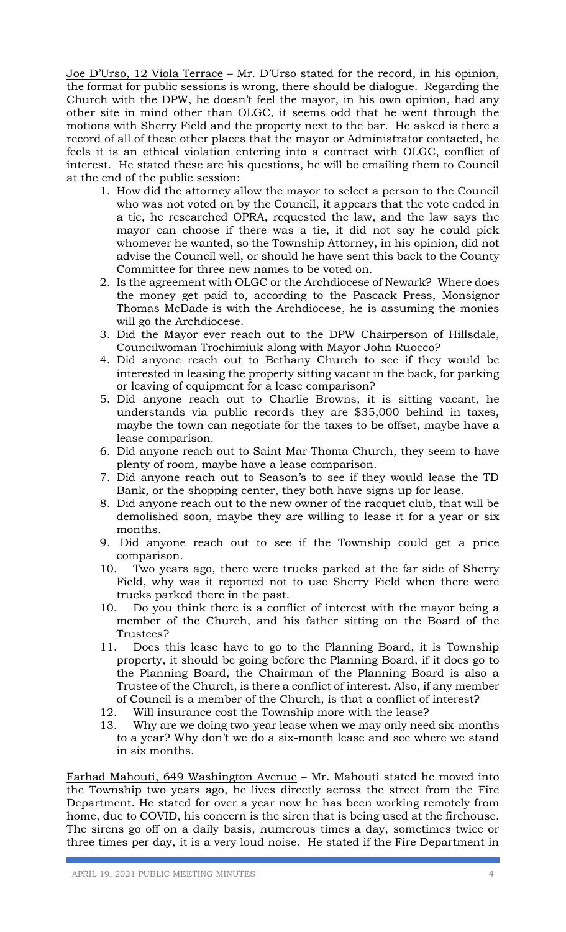Joe D'Urso, 12 Viola Terrace – Mr. D'Urso stated for the record, in his opinion, the format for public sessions is wrong, there should be dialogue. Regarding the Church with the DPW, he doesn't feel the mayor, in his own opinion, had any other site in mind other than OLGC, it seems odd that he went through the motions with Sherry Field and the property next to the bar. He asked is there a record of all of these other places that the mayor or Administrator contacted, he feels it is an ethical violation entering into a contract with OLGC, conflict of interest. He stated these are his questions, he will be emailing them to Council at the end of the public session:

- 1. How did the attorney allow the mayor to select a person to the Council who was not voted on by the Council, it appears that the vote ended in a tie, he researched OPRA, requested the law, and the law says the mayor can choose if there was a tie, it did not say he could pick whomever he wanted, so the Township Attorney, in his opinion, did not advise the Council well, or should he have sent this back to the County Committee for three new names to be voted on.
- 2. Is the agreement with OLGC or the Archdiocese of Newark? Where does the money get paid to, according to the Pascack Press, Monsignor Thomas McDade is with the Archdiocese, he is assuming the monies will go the Archdiocese.
- 3. Did the Mayor ever reach out to the DPW Chairperson of Hillsdale, Councilwoman Trochimiuk along with Mayor John Ruocco?
- 4. Did anyone reach out to Bethany Church to see if they would be interested in leasing the property sitting vacant in the back, for parking or leaving of equipment for a lease comparison?
- 5. Did anyone reach out to Charlie Browns, it is sitting vacant, he understands via public records they are \$35,000 behind in taxes, maybe the town can negotiate for the taxes to be offset, maybe have a lease comparison.
- 6. Did anyone reach out to Saint Mar Thoma Church, they seem to have plenty of room, maybe have a lease comparison.
- 7. Did anyone reach out to Season's to see if they would lease the TD Bank, or the shopping center, they both have signs up for lease.
- 8. Did anyone reach out to the new owner of the racquet club, that will be demolished soon, maybe they are willing to lease it for a year or six months.
- 9. Did anyone reach out to see if the Township could get a price comparison.
- 10. Two years ago, there were trucks parked at the far side of Sherry Field, why was it reported not to use Sherry Field when there were trucks parked there in the past.
- 10. Do you think there is a conflict of interest with the mayor being a member of the Church, and his father sitting on the Board of the Trustees?
- 11. Does this lease have to go to the Planning Board, it is Township property, it should be going before the Planning Board, if it does go to the Planning Board, the Chairman of the Planning Board is also a Trustee of the Church, is there a conflict of interest. Also, if any member of Council is a member of the Church, is that a conflict of interest?
- 12. Will insurance cost the Township more with the lease?
- 13. Why are we doing two-year lease when we may only need six-months to a year? Why don't we do a six-month lease and see where we stand in six months.

Farhad Mahouti, 649 Washington Avenue – Mr. Mahouti stated he moved into the Township two years ago, he lives directly across the street from the Fire Department. He stated for over a year now he has been working remotely from home, due to COVID, his concern is the siren that is being used at the firehouse. The sirens go off on a daily basis, numerous times a day, sometimes twice or three times per day, it is a very loud noise. He stated if the Fire Department in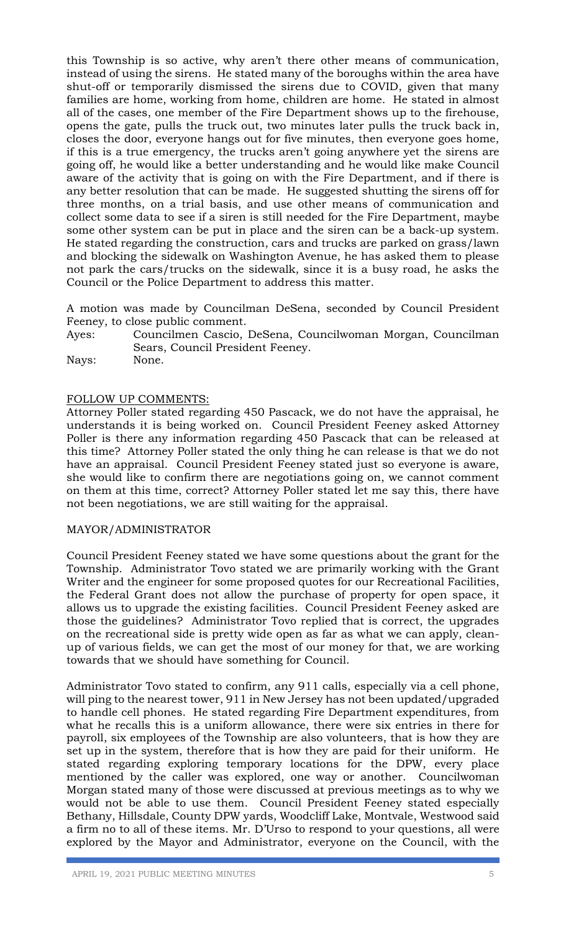this Township is so active, why aren't there other means of communication, instead of using the sirens. He stated many of the boroughs within the area have shut-off or temporarily dismissed the sirens due to COVID, given that many families are home, working from home, children are home. He stated in almost all of the cases, one member of the Fire Department shows up to the firehouse, opens the gate, pulls the truck out, two minutes later pulls the truck back in, closes the door, everyone hangs out for five minutes, then everyone goes home, if this is a true emergency, the trucks aren't going anywhere yet the sirens are going off, he would like a better understanding and he would like make Council aware of the activity that is going on with the Fire Department, and if there is any better resolution that can be made. He suggested shutting the sirens off for three months, on a trial basis, and use other means of communication and collect some data to see if a siren is still needed for the Fire Department, maybe some other system can be put in place and the siren can be a back-up system. He stated regarding the construction, cars and trucks are parked on grass/lawn and blocking the sidewalk on Washington Avenue, he has asked them to please not park the cars/trucks on the sidewalk, since it is a busy road, he asks the Council or the Police Department to address this matter.

A motion was made by Councilman DeSena, seconded by Council President Feeney, to close public comment.

Ayes: Councilmen Cascio, DeSena, Councilwoman Morgan, Councilman Sears, Council President Feeney.

Nays: None.

## FOLLOW UP COMMENTS:

Attorney Poller stated regarding 450 Pascack, we do not have the appraisal, he understands it is being worked on. Council President Feeney asked Attorney Poller is there any information regarding 450 Pascack that can be released at this time? Attorney Poller stated the only thing he can release is that we do not have an appraisal. Council President Feeney stated just so everyone is aware, she would like to confirm there are negotiations going on, we cannot comment on them at this time, correct? Attorney Poller stated let me say this, there have not been negotiations, we are still waiting for the appraisal.

## MAYOR/ADMINISTRATOR

Council President Feeney stated we have some questions about the grant for the Township. Administrator Tovo stated we are primarily working with the Grant Writer and the engineer for some proposed quotes for our Recreational Facilities, the Federal Grant does not allow the purchase of property for open space, it allows us to upgrade the existing facilities. Council President Feeney asked are those the guidelines? Administrator Tovo replied that is correct, the upgrades on the recreational side is pretty wide open as far as what we can apply, cleanup of various fields, we can get the most of our money for that, we are working towards that we should have something for Council.

Administrator Tovo stated to confirm, any 911 calls, especially via a cell phone, will ping to the nearest tower, 911 in New Jersey has not been updated/upgraded to handle cell phones. He stated regarding Fire Department expenditures, from what he recalls this is a uniform allowance, there were six entries in there for payroll, six employees of the Township are also volunteers, that is how they are set up in the system, therefore that is how they are paid for their uniform. He stated regarding exploring temporary locations for the DPW, every place mentioned by the caller was explored, one way or another. Councilwoman Morgan stated many of those were discussed at previous meetings as to why we would not be able to use them. Council President Feeney stated especially Bethany, Hillsdale, County DPW yards, Woodcliff Lake, Montvale, Westwood said a firm no to all of these items. Mr. D'Urso to respond to your questions, all were explored by the Mayor and Administrator, everyone on the Council, with the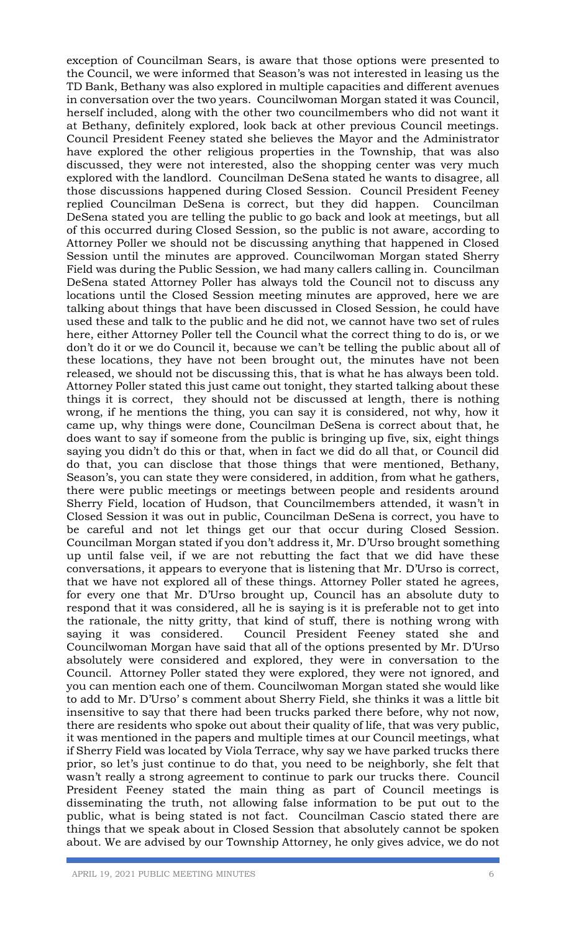exception of Councilman Sears, is aware that those options were presented to the Council, we were informed that Season's was not interested in leasing us the TD Bank, Bethany was also explored in multiple capacities and different avenues in conversation over the two years. Councilwoman Morgan stated it was Council, herself included, along with the other two councilmembers who did not want it at Bethany, definitely explored, look back at other previous Council meetings. Council President Feeney stated she believes the Mayor and the Administrator have explored the other religious properties in the Township, that was also discussed, they were not interested, also the shopping center was very much explored with the landlord. Councilman DeSena stated he wants to disagree, all those discussions happened during Closed Session. Council President Feeney replied Councilman DeSena is correct, but they did happen. Councilman DeSena stated you are telling the public to go back and look at meetings, but all of this occurred during Closed Session, so the public is not aware, according to Attorney Poller we should not be discussing anything that happened in Closed Session until the minutes are approved. Councilwoman Morgan stated Sherry Field was during the Public Session, we had many callers calling in. Councilman DeSena stated Attorney Poller has always told the Council not to discuss any locations until the Closed Session meeting minutes are approved, here we are talking about things that have been discussed in Closed Session, he could have used these and talk to the public and he did not, we cannot have two set of rules here, either Attorney Poller tell the Council what the correct thing to do is, or we don't do it or we do Council it, because we can't be telling the public about all of these locations, they have not been brought out, the minutes have not been released, we should not be discussing this, that is what he has always been told. Attorney Poller stated this just came out tonight, they started talking about these things it is correct, they should not be discussed at length, there is nothing wrong, if he mentions the thing, you can say it is considered, not why, how it came up, why things were done, Councilman DeSena is correct about that, he does want to say if someone from the public is bringing up five, six, eight things saying you didn't do this or that, when in fact we did do all that, or Council did do that, you can disclose that those things that were mentioned, Bethany, Season's, you can state they were considered, in addition, from what he gathers, there were public meetings or meetings between people and residents around Sherry Field, location of Hudson, that Councilmembers attended, it wasn't in Closed Session it was out in public, Councilman DeSena is correct, you have to be careful and not let things get our that occur during Closed Session. Councilman Morgan stated if you don't address it, Mr. D'Urso brought something up until false veil, if we are not rebutting the fact that we did have these conversations, it appears to everyone that is listening that Mr. D'Urso is correct, that we have not explored all of these things. Attorney Poller stated he agrees, for every one that Mr. D'Urso brought up, Council has an absolute duty to respond that it was considered, all he is saying is it is preferable not to get into the rationale, the nitty gritty, that kind of stuff, there is nothing wrong with saying it was considered. Council President Feeney stated she and Councilwoman Morgan have said that all of the options presented by Mr. D'Urso absolutely were considered and explored, they were in conversation to the Council. Attorney Poller stated they were explored, they were not ignored, and you can mention each one of them. Councilwoman Morgan stated she would like to add to Mr. D'Urso' s comment about Sherry Field, she thinks it was a little bit insensitive to say that there had been trucks parked there before, why not now, there are residents who spoke out about their quality of life, that was very public, it was mentioned in the papers and multiple times at our Council meetings, what if Sherry Field was located by Viola Terrace, why say we have parked trucks there prior, so let's just continue to do that, you need to be neighborly, she felt that wasn't really a strong agreement to continue to park our trucks there. Council President Feeney stated the main thing as part of Council meetings is disseminating the truth, not allowing false information to be put out to the public, what is being stated is not fact. Councilman Cascio stated there are things that we speak about in Closed Session that absolutely cannot be spoken about. We are advised by our Township Attorney, he only gives advice, we do not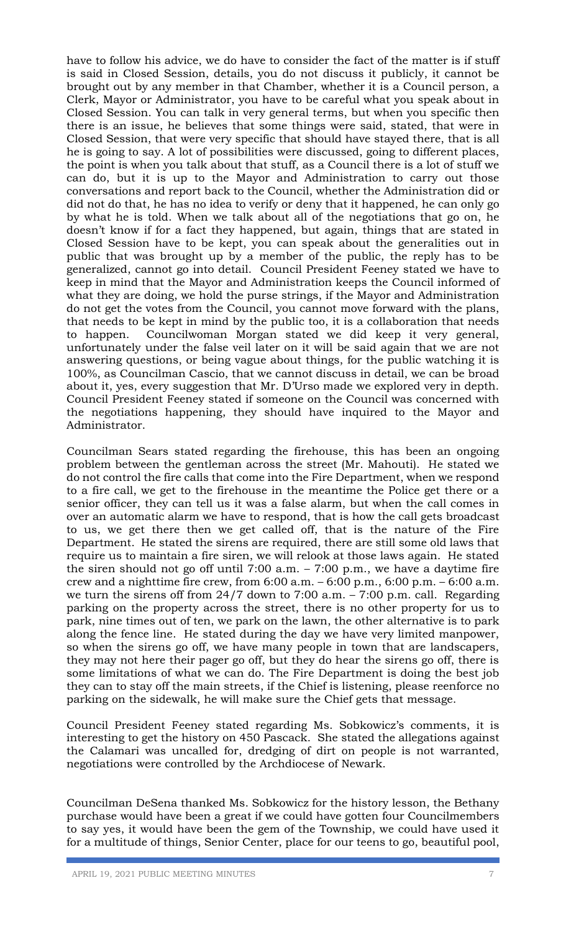have to follow his advice, we do have to consider the fact of the matter is if stuff is said in Closed Session, details, you do not discuss it publicly, it cannot be brought out by any member in that Chamber, whether it is a Council person, a Clerk, Mayor or Administrator, you have to be careful what you speak about in Closed Session. You can talk in very general terms, but when you specific then there is an issue, he believes that some things were said, stated, that were in Closed Session, that were very specific that should have stayed there, that is all he is going to say. A lot of possibilities were discussed, going to different places, the point is when you talk about that stuff, as a Council there is a lot of stuff we can do, but it is up to the Mayor and Administration to carry out those conversations and report back to the Council, whether the Administration did or did not do that, he has no idea to verify or deny that it happened, he can only go by what he is told. When we talk about all of the negotiations that go on, he doesn't know if for a fact they happened, but again, things that are stated in Closed Session have to be kept, you can speak about the generalities out in public that was brought up by a member of the public, the reply has to be generalized, cannot go into detail. Council President Feeney stated we have to keep in mind that the Mayor and Administration keeps the Council informed of what they are doing, we hold the purse strings, if the Mayor and Administration do not get the votes from the Council, you cannot move forward with the plans, that needs to be kept in mind by the public too, it is a collaboration that needs to happen. Councilwoman Morgan stated we did keep it very general, unfortunately under the false veil later on it will be said again that we are not answering questions, or being vague about things, for the public watching it is 100%, as Councilman Cascio, that we cannot discuss in detail, we can be broad about it, yes, every suggestion that Mr. D'Urso made we explored very in depth. Council President Feeney stated if someone on the Council was concerned with the negotiations happening, they should have inquired to the Mayor and Administrator.

Councilman Sears stated regarding the firehouse, this has been an ongoing problem between the gentleman across the street (Mr. Mahouti). He stated we do not control the fire calls that come into the Fire Department, when we respond to a fire call, we get to the firehouse in the meantime the Police get there or a senior officer, they can tell us it was a false alarm, but when the call comes in over an automatic alarm we have to respond, that is how the call gets broadcast to us, we get there then we get called off, that is the nature of the Fire Department. He stated the sirens are required, there are still some old laws that require us to maintain a fire siren, we will relook at those laws again. He stated the siren should not go off until 7:00 a.m. – 7:00 p.m., we have a daytime fire crew and a nighttime fire crew, from  $6:00$  a.m.  $-6:00$  p.m.,  $6:00$  p.m.  $-6:00$  a.m. we turn the sirens off from  $24/7$  down to 7:00 a.m.  $-7:00$  p.m. call. Regarding parking on the property across the street, there is no other property for us to park, nine times out of ten, we park on the lawn, the other alternative is to park along the fence line. He stated during the day we have very limited manpower, so when the sirens go off, we have many people in town that are landscapers, they may not here their pager go off, but they do hear the sirens go off, there is some limitations of what we can do. The Fire Department is doing the best job they can to stay off the main streets, if the Chief is listening, please reenforce no parking on the sidewalk, he will make sure the Chief gets that message.

Council President Feeney stated regarding Ms. Sobkowicz's comments, it is interesting to get the history on 450 Pascack. She stated the allegations against the Calamari was uncalled for, dredging of dirt on people is not warranted, negotiations were controlled by the Archdiocese of Newark.

Councilman DeSena thanked Ms. Sobkowicz for the history lesson, the Bethany purchase would have been a great if we could have gotten four Councilmembers to say yes, it would have been the gem of the Township, we could have used it for a multitude of things, Senior Center, place for our teens to go, beautiful pool,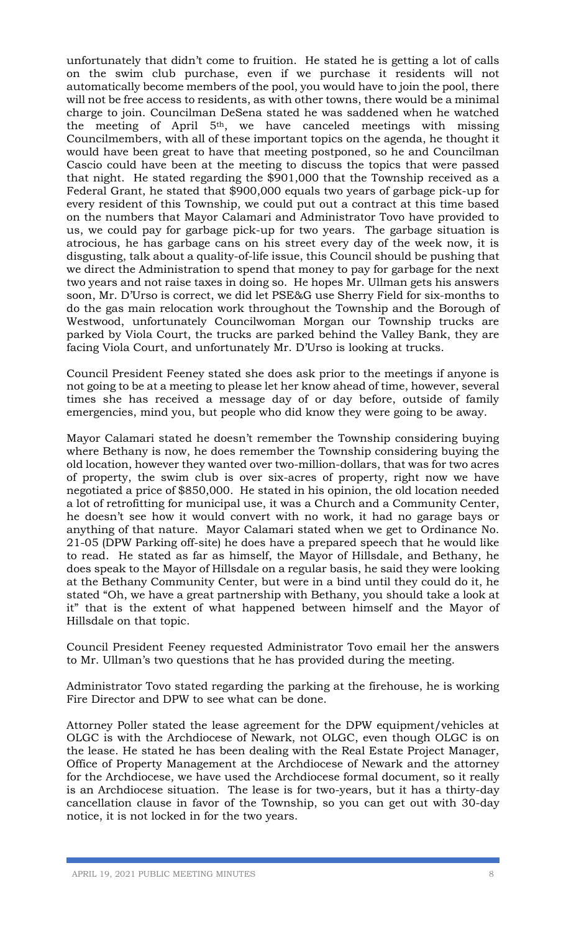unfortunately that didn't come to fruition. He stated he is getting a lot of calls on the swim club purchase, even if we purchase it residents will not automatically become members of the pool, you would have to join the pool, there will not be free access to residents, as with other towns, there would be a minimal charge to join. Councilman DeSena stated he was saddened when he watched the meeting of April 5th, we have canceled meetings with missing Councilmembers, with all of these important topics on the agenda, he thought it would have been great to have that meeting postponed, so he and Councilman Cascio could have been at the meeting to discuss the topics that were passed that night. He stated regarding the \$901,000 that the Township received as a Federal Grant, he stated that \$900,000 equals two years of garbage pick-up for every resident of this Township, we could put out a contract at this time based on the numbers that Mayor Calamari and Administrator Tovo have provided to us, we could pay for garbage pick-up for two years. The garbage situation is atrocious, he has garbage cans on his street every day of the week now, it is disgusting, talk about a quality-of-life issue, this Council should be pushing that we direct the Administration to spend that money to pay for garbage for the next two years and not raise taxes in doing so. He hopes Mr. Ullman gets his answers soon, Mr. D'Urso is correct, we did let PSE&G use Sherry Field for six-months to do the gas main relocation work throughout the Township and the Borough of Westwood, unfortunately Councilwoman Morgan our Township trucks are parked by Viola Court, the trucks are parked behind the Valley Bank, they are facing Viola Court, and unfortunately Mr. D'Urso is looking at trucks.

Council President Feeney stated she does ask prior to the meetings if anyone is not going to be at a meeting to please let her know ahead of time, however, several times she has received a message day of or day before, outside of family emergencies, mind you, but people who did know they were going to be away.

Mayor Calamari stated he doesn't remember the Township considering buying where Bethany is now, he does remember the Township considering buying the old location, however they wanted over two-million-dollars, that was for two acres of property, the swim club is over six-acres of property, right now we have negotiated a price of \$850,000. He stated in his opinion, the old location needed a lot of retrofitting for municipal use, it was a Church and a Community Center, he doesn't see how it would convert with no work, it had no garage bays or anything of that nature. Mayor Calamari stated when we get to Ordinance No. 21-05 (DPW Parking off-site) he does have a prepared speech that he would like to read. He stated as far as himself, the Mayor of Hillsdale, and Bethany, he does speak to the Mayor of Hillsdale on a regular basis, he said they were looking at the Bethany Community Center, but were in a bind until they could do it, he stated "Oh, we have a great partnership with Bethany, you should take a look at it" that is the extent of what happened between himself and the Mayor of Hillsdale on that topic.

Council President Feeney requested Administrator Tovo email her the answers to Mr. Ullman's two questions that he has provided during the meeting.

Administrator Tovo stated regarding the parking at the firehouse, he is working Fire Director and DPW to see what can be done.

Attorney Poller stated the lease agreement for the DPW equipment/vehicles at OLGC is with the Archdiocese of Newark, not OLGC, even though OLGC is on the lease. He stated he has been dealing with the Real Estate Project Manager, Office of Property Management at the Archdiocese of Newark and the attorney for the Archdiocese, we have used the Archdiocese formal document, so it really is an Archdiocese situation. The lease is for two-years, but it has a thirty-day cancellation clause in favor of the Township, so you can get out with 30-day notice, it is not locked in for the two years.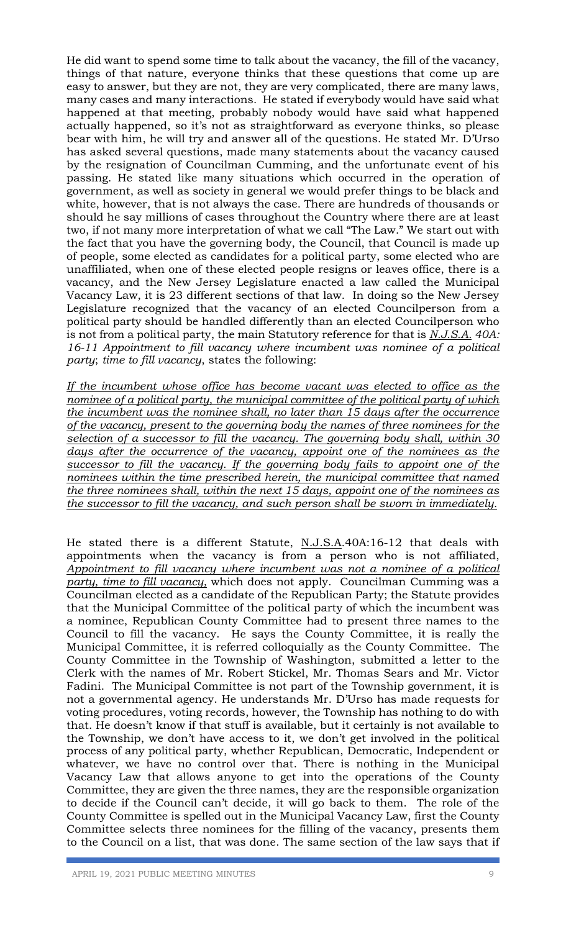He did want to spend some time to talk about the vacancy, the fill of the vacancy, things of that nature, everyone thinks that these questions that come up are easy to answer, but they are not, they are very complicated, there are many laws, many cases and many interactions. He stated if everybody would have said what happened at that meeting, probably nobody would have said what happened actually happened, so it's not as straightforward as everyone thinks, so please bear with him, he will try and answer all of the questions. He stated Mr. D'Urso has asked several questions, made many statements about the vacancy caused by the resignation of Councilman Cumming, and the unfortunate event of his passing. He stated like many situations which occurred in the operation of government, as well as society in general we would prefer things to be black and white, however, that is not always the case. There are hundreds of thousands or should he say millions of cases throughout the Country where there are at least two, if not many more interpretation of what we call "The Law." We start out with the fact that you have the governing body, the Council, that Council is made up of people, some elected as candidates for a political party, some elected who are unaffiliated, when one of these elected people resigns or leaves office, there is a vacancy, and the New Jersey Legislature enacted a law called the Municipal Vacancy Law, it is 23 different sections of that law. In doing so the New Jersey Legislature recognized that the vacancy of an elected Councilperson from a political party should be handled differently than an elected Councilperson who is not from a political party, the main Statutory reference for that is *N.J.S.A. 40A: 16-11 Appointment to fill vacancy where incumbent was nominee of a political party*; *time to fill vacancy*, states the following:

*If the incumbent whose office has become vacant was elected to office as the nominee of a political party, the municipal committee of the political party of which the incumbent was the nominee shall, no later than 15 days after the occurrence of the vacancy, present to the governing body the names of three nominees for the selection of a successor to fill the vacancy. The governing body shall, within 30 days after the occurrence of the vacancy, appoint one of the nominees as the successor to fill the vacancy. If the governing body fails to appoint one of the nominees within the time prescribed herein, the municipal committee that named the three nominees shall, within the next 15 days, appoint one of the nominees as the successor to fill the vacancy, and such person shall be sworn in immediately.* 

He stated there is a different Statute, N.J.S.A.40A:16-12 that deals with appointments when the vacancy is from a person who is not affiliated, *Appointment to fill vacancy where incumbent was not a nominee of a political party, time to fill vacancy,* which does not apply. Councilman Cumming was a Councilman elected as a candidate of the Republican Party; the Statute provides that the Municipal Committee of the political party of which the incumbent was a nominee, Republican County Committee had to present three names to the Council to fill the vacancy. He says the County Committee, it is really the Municipal Committee, it is referred colloquially as the County Committee. The County Committee in the Township of Washington, submitted a letter to the Clerk with the names of Mr. Robert Stickel, Mr. Thomas Sears and Mr. Victor Fadini. The Municipal Committee is not part of the Township government, it is not a governmental agency. He understands Mr. D'Urso has made requests for voting procedures, voting records, however, the Township has nothing to do with that. He doesn't know if that stuff is available, but it certainly is not available to the Township, we don't have access to it, we don't get involved in the political process of any political party, whether Republican, Democratic, Independent or whatever, we have no control over that. There is nothing in the Municipal Vacancy Law that allows anyone to get into the operations of the County Committee, they are given the three names, they are the responsible organization to decide if the Council can't decide, it will go back to them. The role of the County Committee is spelled out in the Municipal Vacancy Law, first the County Committee selects three nominees for the filling of the vacancy, presents them to the Council on a list, that was done. The same section of the law says that if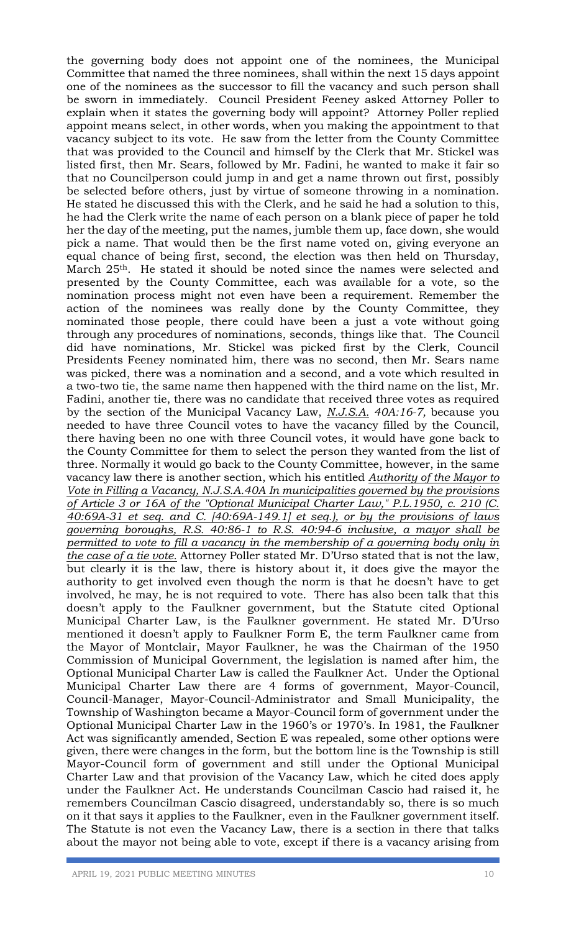the governing body does not appoint one of the nominees, the Municipal Committee that named the three nominees, shall within the next 15 days appoint one of the nominees as the successor to fill the vacancy and such person shall be sworn in immediately. Council President Feeney asked Attorney Poller to explain when it states the governing body will appoint? Attorney Poller replied appoint means select, in other words, when you making the appointment to that vacancy subject to its vote. He saw from the letter from the County Committee that was provided to the Council and himself by the Clerk that Mr. Stickel was listed first, then Mr. Sears, followed by Mr. Fadini, he wanted to make it fair so that no Councilperson could jump in and get a name thrown out first, possibly be selected before others, just by virtue of someone throwing in a nomination. He stated he discussed this with the Clerk, and he said he had a solution to this, he had the Clerk write the name of each person on a blank piece of paper he told her the day of the meeting, put the names, jumble them up, face down, she would pick a name. That would then be the first name voted on, giving everyone an equal chance of being first, second, the election was then held on Thursday, March 25<sup>th</sup>. He stated it should be noted since the names were selected and presented by the County Committee, each was available for a vote, so the nomination process might not even have been a requirement. Remember the action of the nominees was really done by the County Committee, they nominated those people, there could have been a just a vote without going through any procedures of nominations, seconds, things like that. The Council did have nominations, Mr. Stickel was picked first by the Clerk, Council Presidents Feeney nominated him, there was no second, then Mr. Sears name was picked, there was a nomination and a second, and a vote which resulted in a two-two tie, the same name then happened with the third name on the list, Mr. Fadini, another tie, there was no candidate that received three votes as required by the section of the Municipal Vacancy Law, *N.J.S.A. 40A:16-7,* because you needed to have three Council votes to have the vacancy filled by the Council, there having been no one with three Council votes, it would have gone back to the County Committee for them to select the person they wanted from the list of three. Normally it would go back to the County Committee, however, in the same vacancy law there is another section, which his entitled *Authority of the Mayor to Vote in Filling a Vacancy, N.J.S.A.40A In municipalities governed by the provisions of Article 3 or 16A of the "Optional Municipal Charter Law," P.L.1950, c. 210 (C. 40:69A-31 et seq. and C. [40:69A-149.1] et seq.), or by the provisions of laws governing boroughs, R.S. 40:86-1 to R.S. 40:94-6 inclusive, a mayor shall be permitted to vote to fill a vacancy in the membership of a governing body only in the case of a tie vote.* Attorney Poller stated Mr. D'Urso stated that is not the law, but clearly it is the law, there is history about it, it does give the mayor the authority to get involved even though the norm is that he doesn't have to get involved, he may, he is not required to vote. There has also been talk that this doesn't apply to the Faulkner government, but the Statute cited Optional Municipal Charter Law, is the Faulkner government. He stated Mr. D'Urso mentioned it doesn't apply to Faulkner Form E, the term Faulkner came from the Mayor of Montclair, Mayor Faulkner, he was the Chairman of the 1950 Commission of Municipal Government, the legislation is named after him, the Optional Municipal Charter Law is called the Faulkner Act. Under the Optional Municipal Charter Law there are 4 forms of government, Mayor-Council, Council-Manager, Mayor-Council-Administrator and Small Municipality, the Township of Washington became a Mayor-Council form of government under the Optional Municipal Charter Law in the 1960's or 1970's. In 1981, the Faulkner Act was significantly amended, Section E was repealed, some other options were given, there were changes in the form, but the bottom line is the Township is still Mayor-Council form of government and still under the Optional Municipal Charter Law and that provision of the Vacancy Law, which he cited does apply under the Faulkner Act. He understands Councilman Cascio had raised it, he remembers Councilman Cascio disagreed, understandably so, there is so much on it that says it applies to the Faulkner, even in the Faulkner government itself. The Statute is not even the Vacancy Law, there is a section in there that talks about the mayor not being able to vote, except if there is a vacancy arising from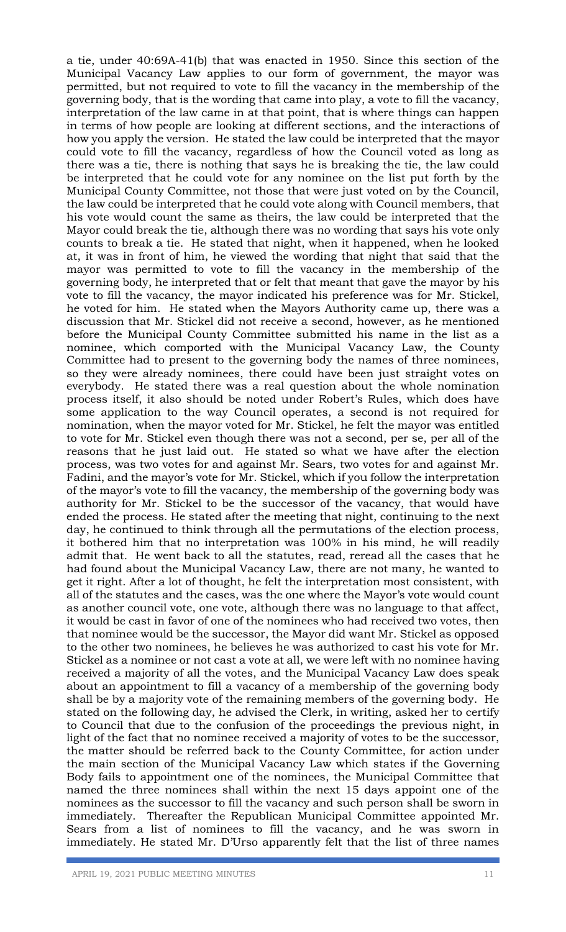a tie, under 40:69A-41(b) that was enacted in 1950. Since this section of the Municipal Vacancy Law applies to our form of government, the mayor was permitted, but not required to vote to fill the vacancy in the membership of the governing body, that is the wording that came into play, a vote to fill the vacancy, interpretation of the law came in at that point, that is where things can happen in terms of how people are looking at different sections, and the interactions of how you apply the version. He stated the law could be interpreted that the mayor could vote to fill the vacancy, regardless of how the Council voted as long as there was a tie, there is nothing that says he is breaking the tie, the law could be interpreted that he could vote for any nominee on the list put forth by the Municipal County Committee, not those that were just voted on by the Council, the law could be interpreted that he could vote along with Council members, that his vote would count the same as theirs, the law could be interpreted that the Mayor could break the tie, although there was no wording that says his vote only counts to break a tie. He stated that night, when it happened, when he looked at, it was in front of him, he viewed the wording that night that said that the mayor was permitted to vote to fill the vacancy in the membership of the governing body, he interpreted that or felt that meant that gave the mayor by his vote to fill the vacancy, the mayor indicated his preference was for Mr. Stickel, he voted for him. He stated when the Mayors Authority came up, there was a discussion that Mr. Stickel did not receive a second, however, as he mentioned before the Municipal County Committee submitted his name in the list as a nominee, which comported with the Municipal Vacancy Law, the County Committee had to present to the governing body the names of three nominees, so they were already nominees, there could have been just straight votes on everybody. He stated there was a real question about the whole nomination process itself, it also should be noted under Robert's Rules, which does have some application to the way Council operates, a second is not required for nomination, when the mayor voted for Mr. Stickel, he felt the mayor was entitled to vote for Mr. Stickel even though there was not a second, per se, per all of the reasons that he just laid out. He stated so what we have after the election process, was two votes for and against Mr. Sears, two votes for and against Mr. Fadini, and the mayor's vote for Mr. Stickel, which if you follow the interpretation of the mayor's vote to fill the vacancy, the membership of the governing body was authority for Mr. Stickel to be the successor of the vacancy, that would have ended the process. He stated after the meeting that night, continuing to the next day, he continued to think through all the permutations of the election process, it bothered him that no interpretation was 100% in his mind, he will readily admit that. He went back to all the statutes, read, reread all the cases that he had found about the Municipal Vacancy Law, there are not many, he wanted to get it right. After a lot of thought, he felt the interpretation most consistent, with all of the statutes and the cases, was the one where the Mayor's vote would count as another council vote, one vote, although there was no language to that affect, it would be cast in favor of one of the nominees who had received two votes, then that nominee would be the successor, the Mayor did want Mr. Stickel as opposed to the other two nominees, he believes he was authorized to cast his vote for Mr. Stickel as a nominee or not cast a vote at all, we were left with no nominee having received a majority of all the votes, and the Municipal Vacancy Law does speak about an appointment to fill a vacancy of a membership of the governing body shall be by a majority vote of the remaining members of the governing body. He stated on the following day, he advised the Clerk, in writing, asked her to certify to Council that due to the confusion of the proceedings the previous night, in light of the fact that no nominee received a majority of votes to be the successor, the matter should be referred back to the County Committee, for action under the main section of the Municipal Vacancy Law which states if the Governing Body fails to appointment one of the nominees, the Municipal Committee that named the three nominees shall within the next 15 days appoint one of the nominees as the successor to fill the vacancy and such person shall be sworn in immediately. Thereafter the Republican Municipal Committee appointed Mr. Sears from a list of nominees to fill the vacancy, and he was sworn in immediately. He stated Mr. D'Urso apparently felt that the list of three names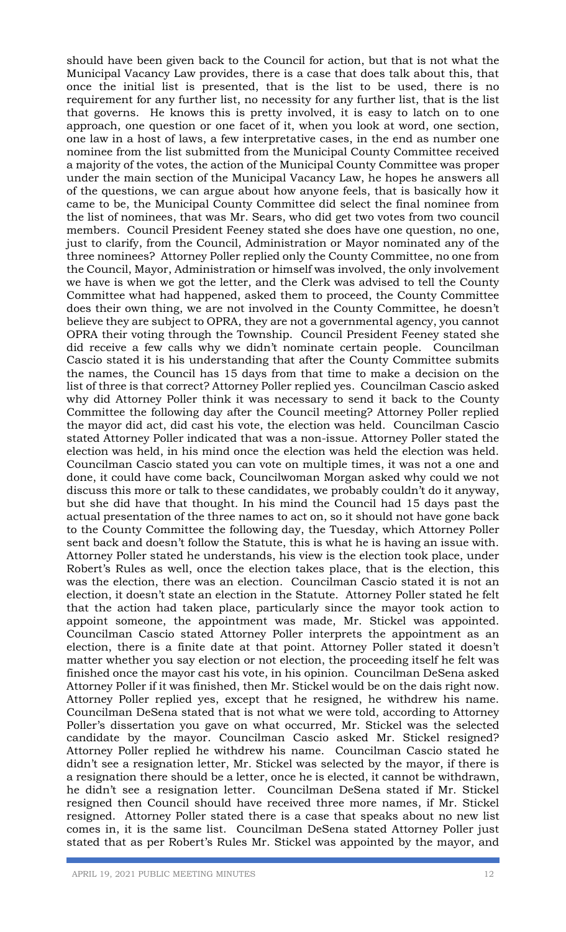should have been given back to the Council for action, but that is not what the Municipal Vacancy Law provides, there is a case that does talk about this, that once the initial list is presented, that is the list to be used, there is no requirement for any further list, no necessity for any further list, that is the list that governs. He knows this is pretty involved, it is easy to latch on to one approach, one question or one facet of it, when you look at word, one section, one law in a host of laws, a few interpretative cases, in the end as number one nominee from the list submitted from the Municipal County Committee received a majority of the votes, the action of the Municipal County Committee was proper under the main section of the Municipal Vacancy Law, he hopes he answers all of the questions, we can argue about how anyone feels, that is basically how it came to be, the Municipal County Committee did select the final nominee from the list of nominees, that was Mr. Sears, who did get two votes from two council members. Council President Feeney stated she does have one question, no one, just to clarify, from the Council, Administration or Mayor nominated any of the three nominees? Attorney Poller replied only the County Committee, no one from the Council, Mayor, Administration or himself was involved, the only involvement we have is when we got the letter, and the Clerk was advised to tell the County Committee what had happened, asked them to proceed, the County Committee does their own thing, we are not involved in the County Committee, he doesn't believe they are subject to OPRA, they are not a governmental agency, you cannot OPRA their voting through the Township. Council President Feeney stated she did receive a few calls why we didn't nominate certain people. Councilman Cascio stated it is his understanding that after the County Committee submits the names, the Council has 15 days from that time to make a decision on the list of three is that correct? Attorney Poller replied yes. Councilman Cascio asked why did Attorney Poller think it was necessary to send it back to the County Committee the following day after the Council meeting? Attorney Poller replied the mayor did act, did cast his vote, the election was held. Councilman Cascio stated Attorney Poller indicated that was a non-issue. Attorney Poller stated the election was held, in his mind once the election was held the election was held. Councilman Cascio stated you can vote on multiple times, it was not a one and done, it could have come back, Councilwoman Morgan asked why could we not discuss this more or talk to these candidates, we probably couldn't do it anyway, but she did have that thought. In his mind the Council had 15 days past the actual presentation of the three names to act on, so it should not have gone back to the County Committee the following day, the Tuesday, which Attorney Poller sent back and doesn't follow the Statute, this is what he is having an issue with. Attorney Poller stated he understands, his view is the election took place, under Robert's Rules as well, once the election takes place, that is the election, this was the election, there was an election. Councilman Cascio stated it is not an election, it doesn't state an election in the Statute. Attorney Poller stated he felt that the action had taken place, particularly since the mayor took action to appoint someone, the appointment was made, Mr. Stickel was appointed. Councilman Cascio stated Attorney Poller interprets the appointment as an election, there is a finite date at that point. Attorney Poller stated it doesn't matter whether you say election or not election, the proceeding itself he felt was finished once the mayor cast his vote, in his opinion. Councilman DeSena asked Attorney Poller if it was finished, then Mr. Stickel would be on the dais right now. Attorney Poller replied yes, except that he resigned, he withdrew his name. Councilman DeSena stated that is not what we were told, according to Attorney Poller's dissertation you gave on what occurred, Mr. Stickel was the selected candidate by the mayor. Councilman Cascio asked Mr. Stickel resigned? Attorney Poller replied he withdrew his name. Councilman Cascio stated he didn't see a resignation letter, Mr. Stickel was selected by the mayor, if there is a resignation there should be a letter, once he is elected, it cannot be withdrawn, he didn't see a resignation letter. Councilman DeSena stated if Mr. Stickel resigned then Council should have received three more names, if Mr. Stickel resigned. Attorney Poller stated there is a case that speaks about no new list comes in, it is the same list. Councilman DeSena stated Attorney Poller just stated that as per Robert's Rules Mr. Stickel was appointed by the mayor, and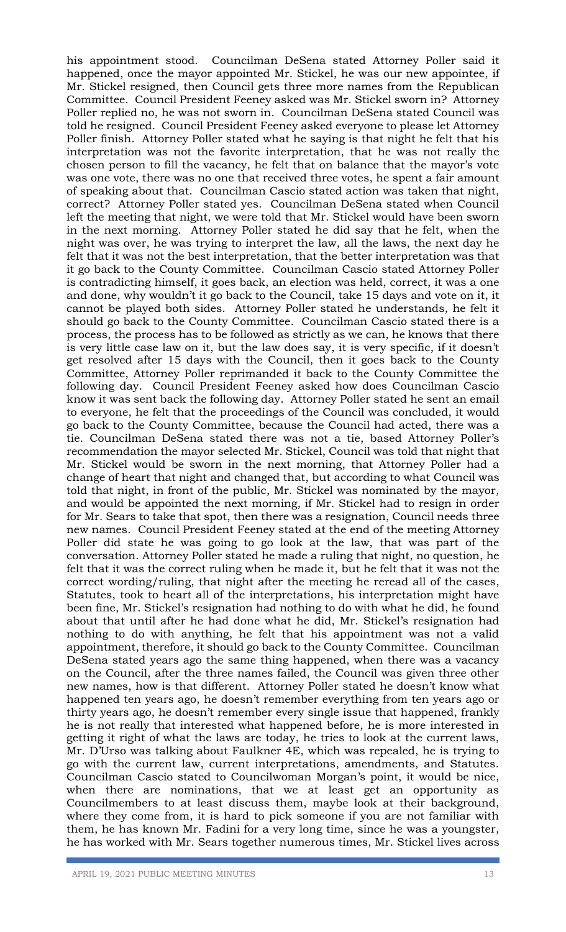his appointment stood. Councilman DeSena stated Attorney Poller said it happened, once the mayor appointed Mr. Stickel, he was our new appointee, if Mr. Stickel resigned, then Council gets three more names from the Republican Committee. Council President Feeney asked was Mr. Stickel sworn in? Attorney Poller replied no, he was not sworn in. Councilman DeSena stated Council was told he resigned. Council President Feeney asked everyone to please let Attorney Poller finish. Attorney Poller stated what he saying is that night he felt that his interpretation was not the favorite interpretation, that he was not really the chosen person to fill the vacancy, he felt that on balance that the mayor's vote was one vote, there was no one that received three votes, he spent a fair amount of speaking about that. Councilman Cascio stated action was taken that night, correct? Attorney Poller stated yes. Councilman DeSena stated when Council left the meeting that night, we were told that Mr. Stickel would have been sworn in the next morning. Attorney Poller stated he did say that he felt, when the night was over, he was trying to interpret the law, all the laws, the next day he felt that it was not the best interpretation, that the better interpretation was that it go back to the County Committee. Councilman Cascio stated Attorney Poller is contradicting himself, it goes back, an election was held, correct, it was a one and done, why wouldn't it go back to the Council, take 15 days and vote on it, it cannot be played both sides. Attorney Poller stated he understands, he felt it should go back to the County Committee. Councilman Cascio stated there is a process, the process has to be followed as strictly as we can, he knows that there is very little case law on it, but the law does say, it is very specific, if it doesn't get resolved after 15 days with the Council, then it goes back to the County Committee, Attorney Poller reprimanded it back to the County Committee the following day. Council President Feeney asked how does Councilman Cascio know it was sent back the following day. Attorney Poller stated he sent an email to everyone, he felt that the proceedings of the Council was concluded, it would go back to the County Committee, because the Council had acted, there was a tie. Councilman DeSena stated there was not a tie, based Attorney Poller's recommendation the mayor selected Mr. Stickel, Council was told that night that Mr. Stickel would be sworn in the next morning, that Attorney Poller had a change of heart that night and changed that, but according to what Council was told that night, in front of the public, Mr. Stickel was nominated by the mayor, and would be appointed the next morning, if Mr. Stickel had to resign in order for Mr. Sears to take that spot, then there was a resignation, Council needs three new names. Council President Feeney stated at the end of the meeting Attorney Poller did state he was going to go look at the law, that was part of the conversation. Attorney Poller stated he made a ruling that night, no question, he felt that it was the correct ruling when he made it, but he felt that it was not the correct wording/ruling, that night after the meeting he reread all of the cases, Statutes, took to heart all of the interpretations, his interpretation might have been fine, Mr. Stickel's resignation had nothing to do with what he did, he found about that until after he had done what he did, Mr. Stickel's resignation had nothing to do with anything, he felt that his appointment was not a valid appointment, therefore, it should go back to the County Committee. Councilman DeSena stated years ago the same thing happened, when there was a vacancy on the Council, after the three names failed, the Council was given three other new names, how is that different. Attorney Poller stated he doesn't know what happened ten years ago, he doesn't remember everything from ten years ago or thirty years ago, he doesn't remember every single issue that happened, frankly he is not really that interested what happened before, he is more interested in getting it right of what the laws are today, he tries to look at the current laws, Mr. D'Urso was talking about Faulkner 4E, which was repealed, he is trying to go with the current law, current interpretations, amendments, and Statutes. Councilman Cascio stated to Councilwoman Morgan's point, it would be nice, when there are nominations, that we at least get an opportunity as Councilmembers to at least discuss them, maybe look at their background, where they come from, it is hard to pick someone if you are not familiar with them, he has known Mr. Fadini for a very long time, since he was a youngster, he has worked with Mr. Sears together numerous times, Mr. Stickel lives across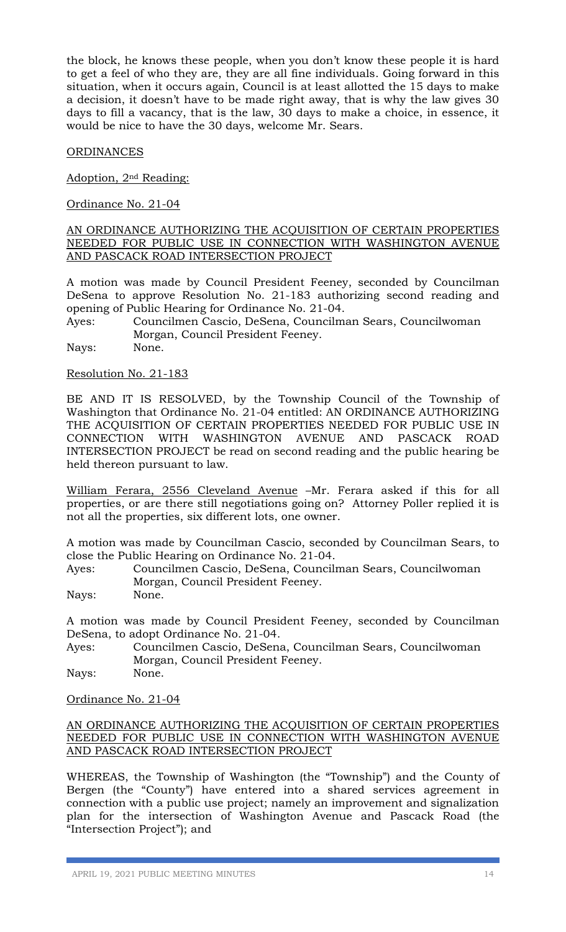the block, he knows these people, when you don't know these people it is hard to get a feel of who they are, they are all fine individuals. Going forward in this situation, when it occurs again, Council is at least allotted the 15 days to make a decision, it doesn't have to be made right away, that is why the law gives 30 days to fill a vacancy, that is the law, 30 days to make a choice, in essence, it would be nice to have the 30 days, welcome Mr. Sears.

## ORDINANCES

Adoption, 2nd Reading:

Ordinance No. 21-04

#### AN ORDINANCE AUTHORIZING THE ACQUISITION OF CERTAIN PROPERTIES NEEDED FOR PUBLIC USE IN CONNECTION WITH WASHINGTON AVENUE AND PASCACK ROAD INTERSECTION PROJECT

A motion was made by Council President Feeney, seconded by Councilman DeSena to approve Resolution No. 21-183 authorizing second reading and opening of Public Hearing for Ordinance No. 21-04.

Ayes: Councilmen Cascio, DeSena, Councilman Sears, Councilwoman Morgan, Council President Feeney.

Nays: None.

## Resolution No. 21-183

BE AND IT IS RESOLVED, by the Township Council of the Township of Washington that Ordinance No. 21-04 entitled: AN ORDINANCE AUTHORIZING THE ACQUISITION OF CERTAIN PROPERTIES NEEDED FOR PUBLIC USE IN CONNECTION WITH WASHINGTON AVENUE AND PASCACK ROAD INTERSECTION PROJECT be read on second reading and the public hearing be held thereon pursuant to law.

William Ferara, 2556 Cleveland Avenue –Mr. Ferara asked if this for all properties, or are there still negotiations going on? Attorney Poller replied it is not all the properties, six different lots, one owner.

A motion was made by Councilman Cascio, seconded by Councilman Sears, to close the Public Hearing on Ordinance No. 21-04.

Ayes: Councilmen Cascio, DeSena, Councilman Sears, Councilwoman Morgan, Council President Feeney.

Nays: None.

A motion was made by Council President Feeney, seconded by Councilman DeSena, to adopt Ordinance No. 21-04.

Ayes: Councilmen Cascio, DeSena, Councilman Sears, Councilwoman Morgan, Council President Feeney.

Nays: None.

## Ordinance No. 21-04

## AN ORDINANCE AUTHORIZING THE ACQUISITION OF CERTAIN PROPERTIES NEEDED FOR PUBLIC USE IN CONNECTION WITH WASHINGTON AVENUE AND PASCACK ROAD INTERSECTION PROJECT

WHEREAS, the Township of Washington (the "Township") and the County of Bergen (the "County") have entered into a shared services agreement in connection with a public use project; namely an improvement and signalization plan for the intersection of Washington Avenue and Pascack Road (the "Intersection Project"); and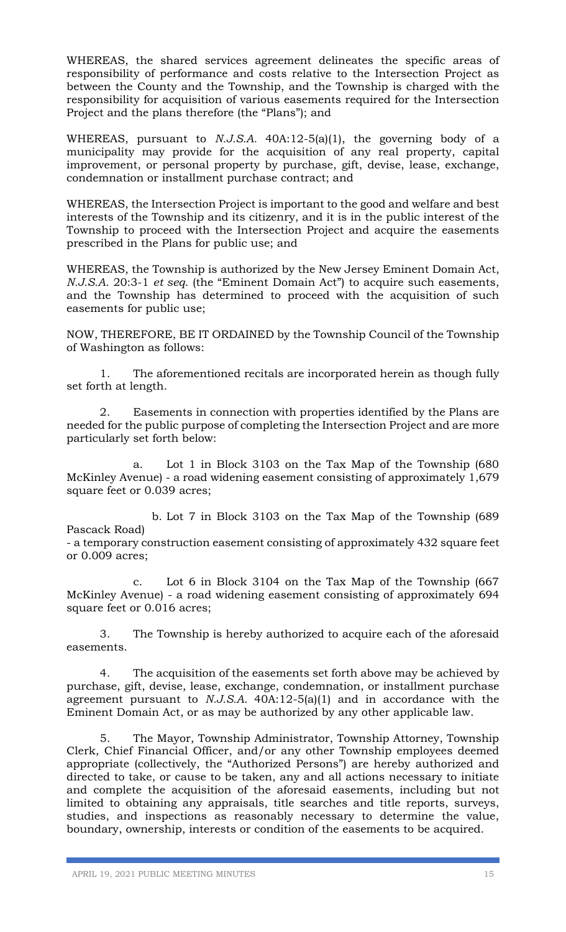WHEREAS, the shared services agreement delineates the specific areas of responsibility of performance and costs relative to the Intersection Project as between the County and the Township, and the Township is charged with the responsibility for acquisition of various easements required for the Intersection Project and the plans therefore (the "Plans"); and

WHEREAS, pursuant to *N.J.S.A.* 40A:12-5(a)(1), the governing body of a municipality may provide for the acquisition of any real property, capital improvement, or personal property by purchase, gift, devise, lease, exchange, condemnation or installment purchase contract; and

WHEREAS, the Intersection Project is important to the good and welfare and best interests of the Township and its citizenry, and it is in the public interest of the Township to proceed with the Intersection Project and acquire the easements prescribed in the Plans for public use; and

WHEREAS, the Township is authorized by the New Jersey Eminent Domain Act, *N.J.S.A*. 20:3-1 *et seq*. (the "Eminent Domain Act") to acquire such easements, and the Township has determined to proceed with the acquisition of such easements for public use;

NOW, THEREFORE, BE IT ORDAINED by the Township Council of the Township of Washington as follows:

1. The aforementioned recitals are incorporated herein as though fully set forth at length.

2. Easements in connection with properties identified by the Plans are needed for the public purpose of completing the Intersection Project and are more particularly set forth below:

a. Lot 1 in Block 3103 on the Tax Map of the Township (680 McKinley Avenue) - a road widening easement consisting of approximately 1,679 square feet or 0.039 acres;

 b. Lot 7 in Block 3103 on the Tax Map of the Township (689 Pascack Road)

- a temporary construction easement consisting of approximately 432 square feet or 0.009 acres;

c. Lot 6 in Block 3104 on the Tax Map of the Township (667 McKinley Avenue) - a road widening easement consisting of approximately 694 square feet or 0.016 acres;

3. The Township is hereby authorized to acquire each of the aforesaid easements.

4. The acquisition of the easements set forth above may be achieved by purchase, gift, devise, lease, exchange, condemnation, or installment purchase agreement pursuant to *N.J.S.A.* 40A:12-5(a)(1) and in accordance with the Eminent Domain Act, or as may be authorized by any other applicable law.

5. The Mayor, Township Administrator, Township Attorney, Township Clerk, Chief Financial Officer, and/or any other Township employees deemed appropriate (collectively, the "Authorized Persons") are hereby authorized and directed to take, or cause to be taken, any and all actions necessary to initiate and complete the acquisition of the aforesaid easements, including but not limited to obtaining any appraisals, title searches and title reports, surveys, studies, and inspections as reasonably necessary to determine the value, boundary, ownership, interests or condition of the easements to be acquired.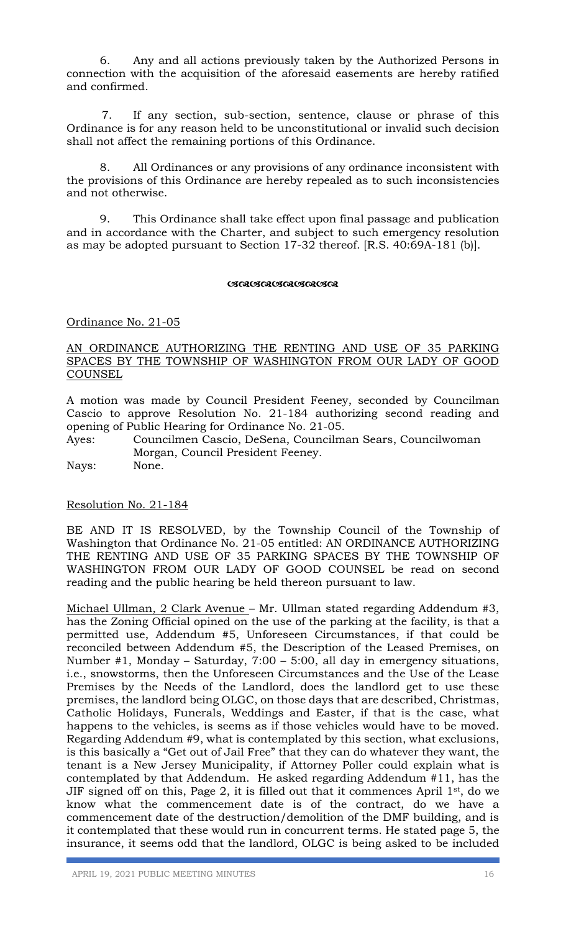6. Any and all actions previously taken by the Authorized Persons in connection with the acquisition of the aforesaid easements are hereby ratified and confirmed.

7. If any section, sub-section, sentence, clause or phrase of this Ordinance is for any reason held to be unconstitutional or invalid such decision shall not affect the remaining portions of this Ordinance.

8. All Ordinances or any provisions of any ordinance inconsistent with the provisions of this Ordinance are hereby repealed as to such inconsistencies and not otherwise.

9. This Ordinance shall take effect upon final passage and publication and in accordance with the Charter, and subject to such emergency resolution as may be adopted pursuant to Section 17-32 thereof. [R.S. 40:69A-181 (b)].

#### **GRAGGAGAGARGA**

Ordinance No. 21-05

## AN ORDINANCE AUTHORIZING THE RENTING AND USE OF 35 PARKING SPACES BY THE TOWNSHIP OF WASHINGTON FROM OUR LADY OF GOOD COUNSEL

A motion was made by Council President Feeney, seconded by Councilman Cascio to approve Resolution No. 21-184 authorizing second reading and opening of Public Hearing for Ordinance No. 21-05.

Ayes: Councilmen Cascio, DeSena, Councilman Sears, Councilwoman Morgan, Council President Feeney. Nays: None.

## Resolution No. 21-184

BE AND IT IS RESOLVED, by the Township Council of the Township of Washington that Ordinance No. 21-05 entitled: AN ORDINANCE AUTHORIZING THE RENTING AND USE OF 35 PARKING SPACES BY THE TOWNSHIP OF WASHINGTON FROM OUR LADY OF GOOD COUNSEL be read on second reading and the public hearing be held thereon pursuant to law.

Michael Ullman, 2 Clark Avenue – Mr. Ullman stated regarding Addendum #3, has the Zoning Official opined on the use of the parking at the facility, is that a permitted use, Addendum #5, Unforeseen Circumstances, if that could be reconciled between Addendum #5, the Description of the Leased Premises, on Number #1, Monday – Saturday, 7:00 – 5:00, all day in emergency situations, i.e., snowstorms, then the Unforeseen Circumstances and the Use of the Lease Premises by the Needs of the Landlord, does the landlord get to use these premises, the landlord being OLGC, on those days that are described, Christmas, Catholic Holidays, Funerals, Weddings and Easter, if that is the case, what happens to the vehicles, is seems as if those vehicles would have to be moved. Regarding Addendum #9, what is contemplated by this section, what exclusions, is this basically a "Get out of Jail Free" that they can do whatever they want, the tenant is a New Jersey Municipality, if Attorney Poller could explain what is contemplated by that Addendum. He asked regarding Addendum #11, has the JIF signed off on this, Page 2, it is filled out that it commences April  $1<sup>st</sup>$ , do we know what the commencement date is of the contract, do we have a commencement date of the destruction/demolition of the DMF building, and is it contemplated that these would run in concurrent terms. He stated page 5, the insurance, it seems odd that the landlord, OLGC is being asked to be included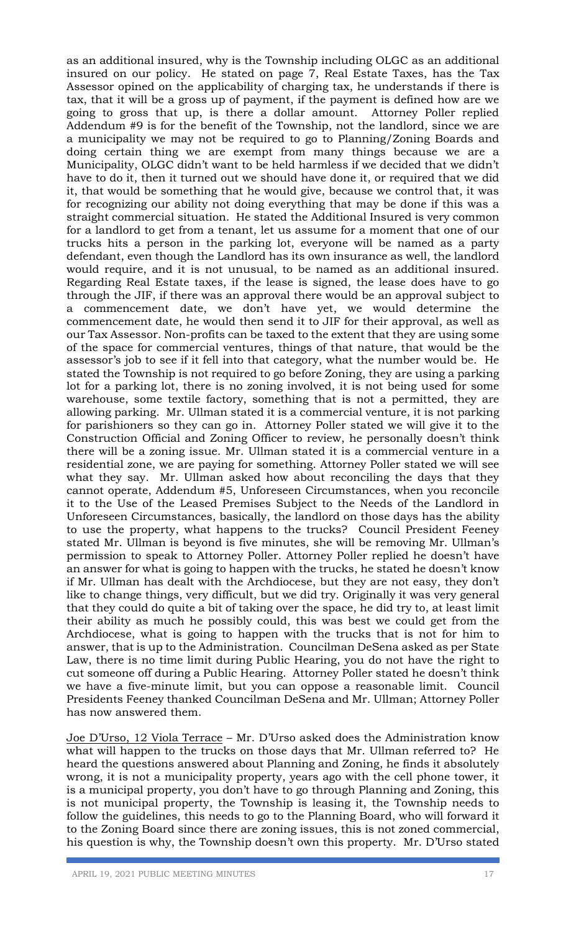as an additional insured, why is the Township including OLGC as an additional insured on our policy. He stated on page 7, Real Estate Taxes, has the Tax Assessor opined on the applicability of charging tax, he understands if there is tax, that it will be a gross up of payment, if the payment is defined how are we going to gross that up, is there a dollar amount. Attorney Poller replied Addendum #9 is for the benefit of the Township, not the landlord, since we are a municipality we may not be required to go to Planning/Zoning Boards and doing certain thing we are exempt from many things because we are a Municipality, OLGC didn't want to be held harmless if we decided that we didn't have to do it, then it turned out we should have done it, or required that we did it, that would be something that he would give, because we control that, it was for recognizing our ability not doing everything that may be done if this was a straight commercial situation. He stated the Additional Insured is very common for a landlord to get from a tenant, let us assume for a moment that one of our trucks hits a person in the parking lot, everyone will be named as a party defendant, even though the Landlord has its own insurance as well, the landlord would require, and it is not unusual, to be named as an additional insured. Regarding Real Estate taxes, if the lease is signed, the lease does have to go through the JIF, if there was an approval there would be an approval subject to a commencement date, we don't have yet, we would determine the commencement date, he would then send it to JIF for their approval, as well as our Tax Assessor. Non-profits can be taxed to the extent that they are using some of the space for commercial ventures, things of that nature, that would be the assessor's job to see if it fell into that category, what the number would be. He stated the Township is not required to go before Zoning, they are using a parking lot for a parking lot, there is no zoning involved, it is not being used for some warehouse, some textile factory, something that is not a permitted, they are allowing parking. Mr. Ullman stated it is a commercial venture, it is not parking for parishioners so they can go in. Attorney Poller stated we will give it to the Construction Official and Zoning Officer to review, he personally doesn't think there will be a zoning issue. Mr. Ullman stated it is a commercial venture in a residential zone, we are paying for something. Attorney Poller stated we will see what they say. Mr. Ullman asked how about reconciling the days that they cannot operate, Addendum #5, Unforeseen Circumstances, when you reconcile it to the Use of the Leased Premises Subject to the Needs of the Landlord in Unforeseen Circumstances, basically, the landlord on those days has the ability to use the property, what happens to the trucks? Council President Feeney stated Mr. Ullman is beyond is five minutes, she will be removing Mr. Ullman's permission to speak to Attorney Poller. Attorney Poller replied he doesn't have an answer for what is going to happen with the trucks, he stated he doesn't know if Mr. Ullman has dealt with the Archdiocese, but they are not easy, they don't like to change things, very difficult, but we did try. Originally it was very general that they could do quite a bit of taking over the space, he did try to, at least limit their ability as much he possibly could, this was best we could get from the Archdiocese, what is going to happen with the trucks that is not for him to answer, that is up to the Administration. Councilman DeSena asked as per State Law, there is no time limit during Public Hearing, you do not have the right to cut someone off during a Public Hearing. Attorney Poller stated he doesn't think we have a five-minute limit, but you can oppose a reasonable limit. Council Presidents Feeney thanked Councilman DeSena and Mr. Ullman; Attorney Poller has now answered them.

Joe D'Urso, 12 Viola Terrace – Mr. D'Urso asked does the Administration know what will happen to the trucks on those days that Mr. Ullman referred to? He heard the questions answered about Planning and Zoning, he finds it absolutely wrong, it is not a municipality property, years ago with the cell phone tower, it is a municipal property, you don't have to go through Planning and Zoning, this is not municipal property, the Township is leasing it, the Township needs to follow the guidelines, this needs to go to the Planning Board, who will forward it to the Zoning Board since there are zoning issues, this is not zoned commercial, his question is why, the Township doesn't own this property. Mr. D'Urso stated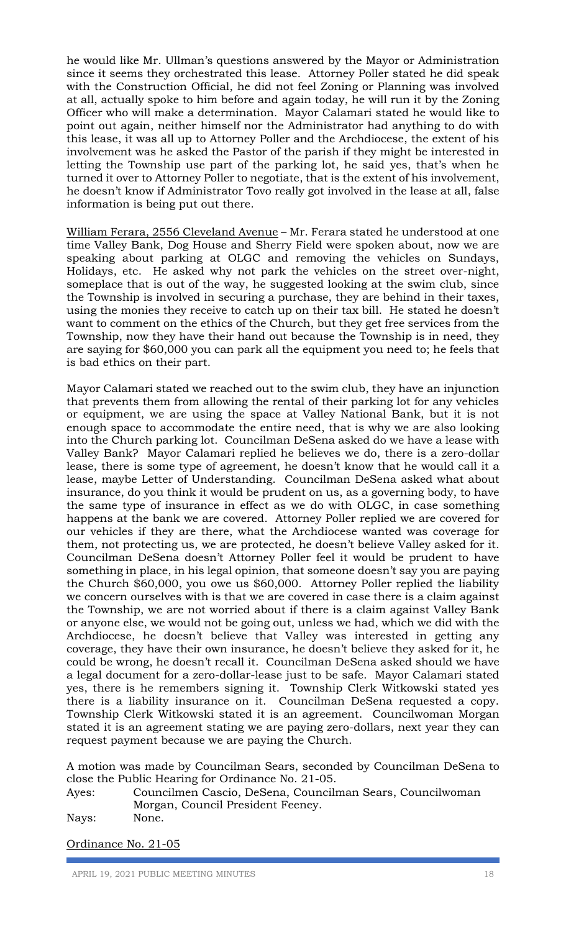he would like Mr. Ullman's questions answered by the Mayor or Administration since it seems they orchestrated this lease. Attorney Poller stated he did speak with the Construction Official, he did not feel Zoning or Planning was involved at all, actually spoke to him before and again today, he will run it by the Zoning Officer who will make a determination. Mayor Calamari stated he would like to point out again, neither himself nor the Administrator had anything to do with this lease, it was all up to Attorney Poller and the Archdiocese, the extent of his involvement was he asked the Pastor of the parish if they might be interested in letting the Township use part of the parking lot, he said yes, that's when he turned it over to Attorney Poller to negotiate, that is the extent of his involvement, he doesn't know if Administrator Tovo really got involved in the lease at all, false information is being put out there.

William Ferara, 2556 Cleveland Avenue – Mr. Ferara stated he understood at one time Valley Bank, Dog House and Sherry Field were spoken about, now we are speaking about parking at OLGC and removing the vehicles on Sundays, Holidays, etc. He asked why not park the vehicles on the street over-night, someplace that is out of the way, he suggested looking at the swim club, since the Township is involved in securing a purchase, they are behind in their taxes, using the monies they receive to catch up on their tax bill. He stated he doesn't want to comment on the ethics of the Church, but they get free services from the Township, now they have their hand out because the Township is in need, they are saying for \$60,000 you can park all the equipment you need to; he feels that is bad ethics on their part.

Mayor Calamari stated we reached out to the swim club, they have an injunction that prevents them from allowing the rental of their parking lot for any vehicles or equipment, we are using the space at Valley National Bank, but it is not enough space to accommodate the entire need, that is why we are also looking into the Church parking lot. Councilman DeSena asked do we have a lease with Valley Bank? Mayor Calamari replied he believes we do, there is a zero-dollar lease, there is some type of agreement, he doesn't know that he would call it a lease, maybe Letter of Understanding. Councilman DeSena asked what about insurance, do you think it would be prudent on us, as a governing body, to have the same type of insurance in effect as we do with OLGC, in case something happens at the bank we are covered. Attorney Poller replied we are covered for our vehicles if they are there, what the Archdiocese wanted was coverage for them, not protecting us, we are protected, he doesn't believe Valley asked for it. Councilman DeSena doesn't Attorney Poller feel it would be prudent to have something in place, in his legal opinion, that someone doesn't say you are paying the Church \$60,000, you owe us \$60,000. Attorney Poller replied the liability we concern ourselves with is that we are covered in case there is a claim against the Township, we are not worried about if there is a claim against Valley Bank or anyone else, we would not be going out, unless we had, which we did with the Archdiocese, he doesn't believe that Valley was interested in getting any coverage, they have their own insurance, he doesn't believe they asked for it, he could be wrong, he doesn't recall it. Councilman DeSena asked should we have a legal document for a zero-dollar-lease just to be safe. Mayor Calamari stated yes, there is he remembers signing it. Township Clerk Witkowski stated yes there is a liability insurance on it. Councilman DeSena requested a copy. Township Clerk Witkowski stated it is an agreement. Councilwoman Morgan stated it is an agreement stating we are paying zero-dollars, next year they can request payment because we are paying the Church.

A motion was made by Councilman Sears, seconded by Councilman DeSena to close the Public Hearing for Ordinance No. 21-05.

| Ayes: | Councilmen Cascio, DeSena, Councilman Sears, Councilwoman |
|-------|-----------------------------------------------------------|
|       | Morgan, Council President Feeney.                         |
| Nays: | None.                                                     |

Ordinance No. 21-05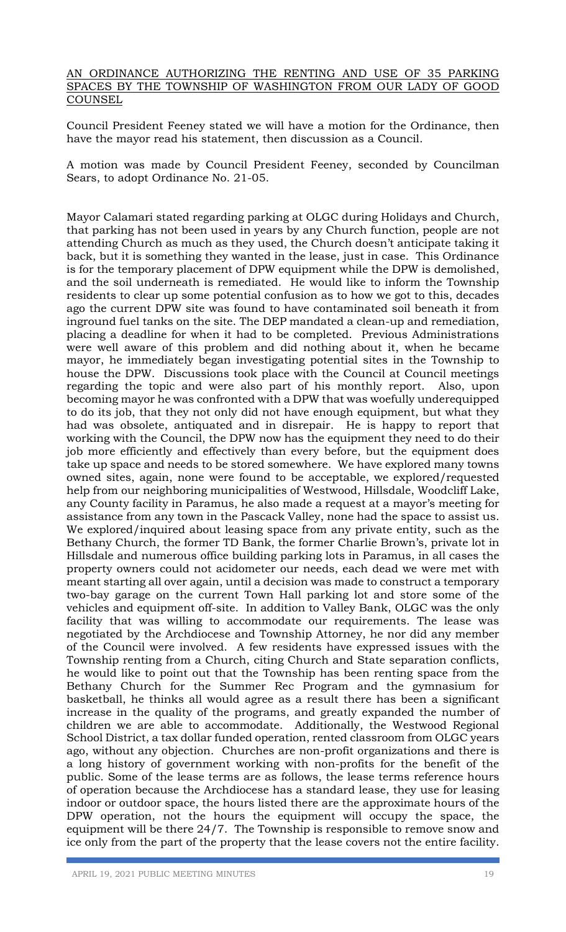## AN ORDINANCE AUTHORIZING THE RENTING AND USE OF 35 PARKING SPACES BY THE TOWNSHIP OF WASHINGTON FROM OUR LADY OF GOOD **COUNSEL**

Council President Feeney stated we will have a motion for the Ordinance, then have the mayor read his statement, then discussion as a Council.

A motion was made by Council President Feeney, seconded by Councilman Sears, to adopt Ordinance No. 21-05.

Mayor Calamari stated regarding parking at OLGC during Holidays and Church, that parking has not been used in years by any Church function, people are not attending Church as much as they used, the Church doesn't anticipate taking it back, but it is something they wanted in the lease, just in case. This Ordinance is for the temporary placement of DPW equipment while the DPW is demolished, and the soil underneath is remediated. He would like to inform the Township residents to clear up some potential confusion as to how we got to this, decades ago the current DPW site was found to have contaminated soil beneath it from inground fuel tanks on the site. The DEP mandated a clean-up and remediation, placing a deadline for when it had to be completed. Previous Administrations were well aware of this problem and did nothing about it, when he became mayor, he immediately began investigating potential sites in the Township to house the DPW. Discussions took place with the Council at Council meetings regarding the topic and were also part of his monthly report. Also, upon becoming mayor he was confronted with a DPW that was woefully underequipped to do its job, that they not only did not have enough equipment, but what they had was obsolete, antiquated and in disrepair. He is happy to report that working with the Council, the DPW now has the equipment they need to do their job more efficiently and effectively than every before, but the equipment does take up space and needs to be stored somewhere. We have explored many towns owned sites, again, none were found to be acceptable, we explored/requested help from our neighboring municipalities of Westwood, Hillsdale, Woodcliff Lake, any County facility in Paramus, he also made a request at a mayor's meeting for assistance from any town in the Pascack Valley, none had the space to assist us. We explored/inquired about leasing space from any private entity, such as the Bethany Church, the former TD Bank, the former Charlie Brown's, private lot in Hillsdale and numerous office building parking lots in Paramus, in all cases the property owners could not acidometer our needs, each dead we were met with meant starting all over again, until a decision was made to construct a temporary two-bay garage on the current Town Hall parking lot and store some of the vehicles and equipment off-site. In addition to Valley Bank, OLGC was the only facility that was willing to accommodate our requirements. The lease was negotiated by the Archdiocese and Township Attorney, he nor did any member of the Council were involved. A few residents have expressed issues with the Township renting from a Church, citing Church and State separation conflicts, he would like to point out that the Township has been renting space from the Bethany Church for the Summer Rec Program and the gymnasium for basketball, he thinks all would agree as a result there has been a significant increase in the quality of the programs, and greatly expanded the number of children we are able to accommodate. Additionally, the Westwood Regional School District, a tax dollar funded operation, rented classroom from OLGC years ago, without any objection. Churches are non-profit organizations and there is a long history of government working with non-profits for the benefit of the public. Some of the lease terms are as follows, the lease terms reference hours of operation because the Archdiocese has a standard lease, they use for leasing indoor or outdoor space, the hours listed there are the approximate hours of the DPW operation, not the hours the equipment will occupy the space, the equipment will be there 24/7. The Township is responsible to remove snow and ice only from the part of the property that the lease covers not the entire facility.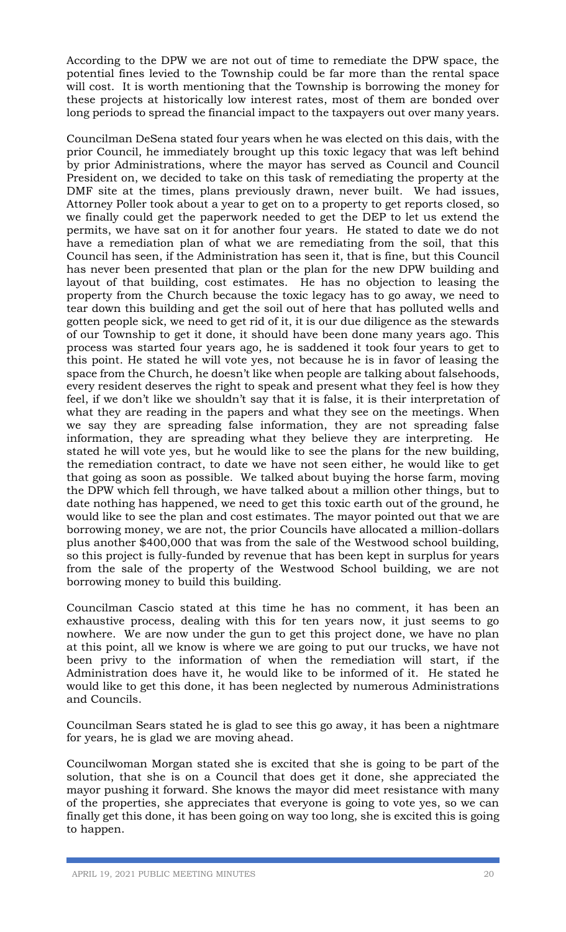According to the DPW we are not out of time to remediate the DPW space, the potential fines levied to the Township could be far more than the rental space will cost. It is worth mentioning that the Township is borrowing the money for these projects at historically low interest rates, most of them are bonded over long periods to spread the financial impact to the taxpayers out over many years.

Councilman DeSena stated four years when he was elected on this dais, with the prior Council, he immediately brought up this toxic legacy that was left behind by prior Administrations, where the mayor has served as Council and Council President on, we decided to take on this task of remediating the property at the DMF site at the times, plans previously drawn, never built. We had issues, Attorney Poller took about a year to get on to a property to get reports closed, so we finally could get the paperwork needed to get the DEP to let us extend the permits, we have sat on it for another four years. He stated to date we do not have a remediation plan of what we are remediating from the soil, that this Council has seen, if the Administration has seen it, that is fine, but this Council has never been presented that plan or the plan for the new DPW building and layout of that building, cost estimates. He has no objection to leasing the property from the Church because the toxic legacy has to go away, we need to tear down this building and get the soil out of here that has polluted wells and gotten people sick, we need to get rid of it, it is our due diligence as the stewards of our Township to get it done, it should have been done many years ago. This process was started four years ago, he is saddened it took four years to get to this point. He stated he will vote yes, not because he is in favor of leasing the space from the Church, he doesn't like when people are talking about falsehoods, every resident deserves the right to speak and present what they feel is how they feel, if we don't like we shouldn't say that it is false, it is their interpretation of what they are reading in the papers and what they see on the meetings. When we say they are spreading false information, they are not spreading false information, they are spreading what they believe they are interpreting. He stated he will vote yes, but he would like to see the plans for the new building, the remediation contract, to date we have not seen either, he would like to get that going as soon as possible. We talked about buying the horse farm, moving the DPW which fell through, we have talked about a million other things, but to date nothing has happened, we need to get this toxic earth out of the ground, he would like to see the plan and cost estimates. The mayor pointed out that we are borrowing money, we are not, the prior Councils have allocated a million-dollars plus another \$400,000 that was from the sale of the Westwood school building, so this project is fully-funded by revenue that has been kept in surplus for years from the sale of the property of the Westwood School building, we are not borrowing money to build this building.

Councilman Cascio stated at this time he has no comment, it has been an exhaustive process, dealing with this for ten years now, it just seems to go nowhere. We are now under the gun to get this project done, we have no plan at this point, all we know is where we are going to put our trucks, we have not been privy to the information of when the remediation will start, if the Administration does have it, he would like to be informed of it. He stated he would like to get this done, it has been neglected by numerous Administrations and Councils.

Councilman Sears stated he is glad to see this go away, it has been a nightmare for years, he is glad we are moving ahead.

Councilwoman Morgan stated she is excited that she is going to be part of the solution, that she is on a Council that does get it done, she appreciated the mayor pushing it forward. She knows the mayor did meet resistance with many of the properties, she appreciates that everyone is going to vote yes, so we can finally get this done, it has been going on way too long, she is excited this is going to happen.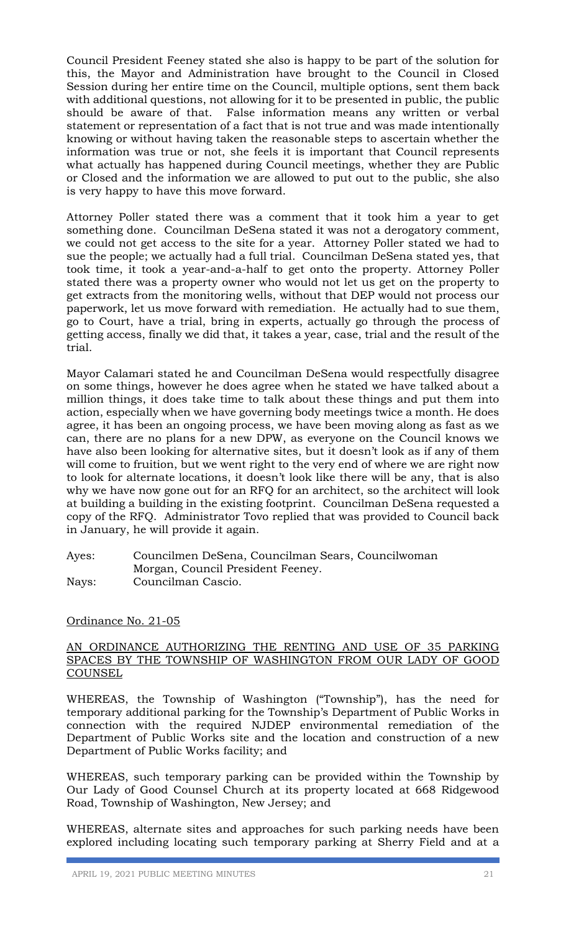Council President Feeney stated she also is happy to be part of the solution for this, the Mayor and Administration have brought to the Council in Closed Session during her entire time on the Council, multiple options, sent them back with additional questions, not allowing for it to be presented in public, the public should be aware of that. False information means any written or verbal statement or representation of a fact that is not true and was made intentionally knowing or without having taken the reasonable steps to ascertain whether the information was true or not, she feels it is important that Council represents what actually has happened during Council meetings, whether they are Public or Closed and the information we are allowed to put out to the public, she also is very happy to have this move forward.

Attorney Poller stated there was a comment that it took him a year to get something done. Councilman DeSena stated it was not a derogatory comment, we could not get access to the site for a year. Attorney Poller stated we had to sue the people; we actually had a full trial. Councilman DeSena stated yes, that took time, it took a year-and-a-half to get onto the property. Attorney Poller stated there was a property owner who would not let us get on the property to get extracts from the monitoring wells, without that DEP would not process our paperwork, let us move forward with remediation. He actually had to sue them, go to Court, have a trial, bring in experts, actually go through the process of getting access, finally we did that, it takes a year, case, trial and the result of the trial.

Mayor Calamari stated he and Councilman DeSena would respectfully disagree on some things, however he does agree when he stated we have talked about a million things, it does take time to talk about these things and put them into action, especially when we have governing body meetings twice a month. He does agree, it has been an ongoing process, we have been moving along as fast as we can, there are no plans for a new DPW, as everyone on the Council knows we have also been looking for alternative sites, but it doesn't look as if any of them will come to fruition, but we went right to the very end of where we are right now to look for alternate locations, it doesn't look like there will be any, that is also why we have now gone out for an RFQ for an architect, so the architect will look at building a building in the existing footprint. Councilman DeSena requested a copy of the RFQ. Administrator Tovo replied that was provided to Council back in January, he will provide it again.

Ayes: Councilmen DeSena, Councilman Sears, Councilwoman Morgan, Council President Feeney. Nays: Councilman Cascio.

## Ordinance No. 21-05

## AN ORDINANCE AUTHORIZING THE RENTING AND USE OF 35 PARKING SPACES BY THE TOWNSHIP OF WASHINGTON FROM OUR LADY OF GOOD **COUNSEL**

WHEREAS, the Township of Washington ("Township"), has the need for temporary additional parking for the Township's Department of Public Works in connection with the required NJDEP environmental remediation of the Department of Public Works site and the location and construction of a new Department of Public Works facility; and

WHEREAS, such temporary parking can be provided within the Township by Our Lady of Good Counsel Church at its property located at 668 Ridgewood Road, Township of Washington, New Jersey; and

WHEREAS, alternate sites and approaches for such parking needs have been explored including locating such temporary parking at Sherry Field and at a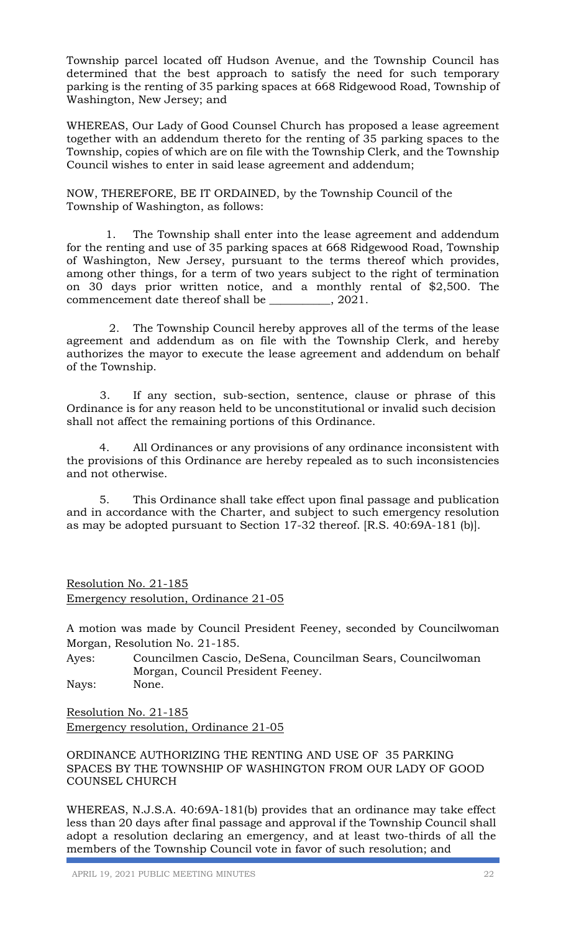Township parcel located off Hudson Avenue, and the Township Council has determined that the best approach to satisfy the need for such temporary parking is the renting of 35 parking spaces at 668 Ridgewood Road, Township of Washington, New Jersey; and

WHEREAS, Our Lady of Good Counsel Church has proposed a lease agreement together with an addendum thereto for the renting of 35 parking spaces to the Township, copies of which are on file with the Township Clerk, and the Township Council wishes to enter in said lease agreement and addendum;

NOW, THEREFORE, BE IT ORDAINED, by the Township Council of the Township of Washington, as follows:

 1. The Township shall enter into the lease agreement and addendum for the renting and use of 35 parking spaces at 668 Ridgewood Road, Township of Washington, New Jersey, pursuant to the terms thereof which provides, among other things, for a term of two years subject to the right of termination on 30 days prior written notice, and a monthly rental of \$2,500. The commencement date thereof shall be \_\_\_\_\_\_\_\_\_\_\_, 2021.

 2. The Township Council hereby approves all of the terms of the lease agreement and addendum as on file with the Township Clerk, and hereby authorizes the mayor to execute the lease agreement and addendum on behalf of the Township.

3. If any section, sub-section, sentence, clause or phrase of this Ordinance is for any reason held to be unconstitutional or invalid such decision shall not affect the remaining portions of this Ordinance.

4. All Ordinances or any provisions of any ordinance inconsistent with the provisions of this Ordinance are hereby repealed as to such inconsistencies and not otherwise.

5. This Ordinance shall take effect upon final passage and publication and in accordance with the Charter, and subject to such emergency resolution as may be adopted pursuant to Section 17-32 thereof. [R.S. 40:69A-181 (b)].

## Resolution No. 21-185 Emergency resolution, Ordinance 21-05

A motion was made by Council President Feeney, seconded by Councilwoman Morgan, Resolution No. 21-185.

Ayes: Councilmen Cascio, DeSena, Councilman Sears, Councilwoman Morgan, Council President Feeney. Nays: None.

Resolution No. 21-185 Emergency resolution, Ordinance 21-05

ORDINANCE AUTHORIZING THE RENTING AND USE OF 35 PARKING SPACES BY THE TOWNSHIP OF WASHINGTON FROM OUR LADY OF GOOD COUNSEL CHURCH

WHEREAS, N.J.S.A. 40:69A-181(b) provides that an ordinance may take effect less than 20 days after final passage and approval if the Township Council shall adopt a resolution declaring an emergency, and at least two-thirds of all the members of the Township Council vote in favor of such resolution; and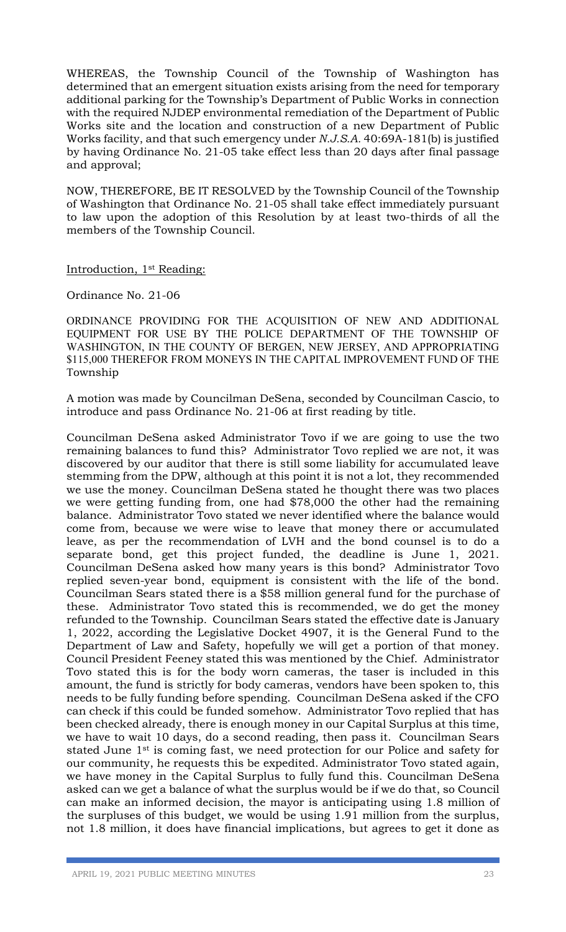WHEREAS, the Township Council of the Township of Washington has determined that an emergent situation exists arising from the need for temporary additional parking for the Township's Department of Public Works in connection with the required NJDEP environmental remediation of the Department of Public Works site and the location and construction of a new Department of Public Works facility, and that such emergency under *N.J.S.A.* 40:69A-181(b) is justified by having Ordinance No. 21-05 take effect less than 20 days after final passage and approval;

NOW, THEREFORE, BE IT RESOLVED by the Township Council of the Township of Washington that Ordinance No. 21-05 shall take effect immediately pursuant to law upon the adoption of this Resolution by at least two-thirds of all the members of the Township Council.

## Introduction, 1st Reading:

## Ordinance No. 21-06

ORDINANCE PROVIDING FOR THE ACQUISITION OF NEW AND ADDITIONAL EQUIPMENT FOR USE BY THE POLICE DEPARTMENT OF THE TOWNSHIP OF WASHINGTON, IN THE COUNTY OF BERGEN, NEW JERSEY, AND APPROPRIATING \$115,000 THEREFOR FROM MONEYS IN THE CAPITAL IMPROVEMENT FUND OF THE Township

A motion was made by Councilman DeSena, seconded by Councilman Cascio, to introduce and pass Ordinance No. 21-06 at first reading by title.

Councilman DeSena asked Administrator Tovo if we are going to use the two remaining balances to fund this? Administrator Tovo replied we are not, it was discovered by our auditor that there is still some liability for accumulated leave stemming from the DPW, although at this point it is not a lot, they recommended we use the money. Councilman DeSena stated he thought there was two places we were getting funding from, one had \$78,000 the other had the remaining balance. Administrator Tovo stated we never identified where the balance would come from, because we were wise to leave that money there or accumulated leave, as per the recommendation of LVH and the bond counsel is to do a separate bond, get this project funded, the deadline is June 1, 2021. Councilman DeSena asked how many years is this bond? Administrator Tovo replied seven-year bond, equipment is consistent with the life of the bond. Councilman Sears stated there is a \$58 million general fund for the purchase of these. Administrator Tovo stated this is recommended, we do get the money refunded to the Township. Councilman Sears stated the effective date is January 1, 2022, according the Legislative Docket 4907, it is the General Fund to the Department of Law and Safety, hopefully we will get a portion of that money. Council President Feeney stated this was mentioned by the Chief. Administrator Tovo stated this is for the body worn cameras, the taser is included in this amount, the fund is strictly for body cameras, vendors have been spoken to, this needs to be fully funding before spending. Councilman DeSena asked if the CFO can check if this could be funded somehow. Administrator Tovo replied that has been checked already, there is enough money in our Capital Surplus at this time, we have to wait 10 days, do a second reading, then pass it. Councilman Sears stated June 1st is coming fast, we need protection for our Police and safety for our community, he requests this be expedited. Administrator Tovo stated again, we have money in the Capital Surplus to fully fund this. Councilman DeSena asked can we get a balance of what the surplus would be if we do that, so Council can make an informed decision, the mayor is anticipating using 1.8 million of the surpluses of this budget, we would be using 1.91 million from the surplus, not 1.8 million, it does have financial implications, but agrees to get it done as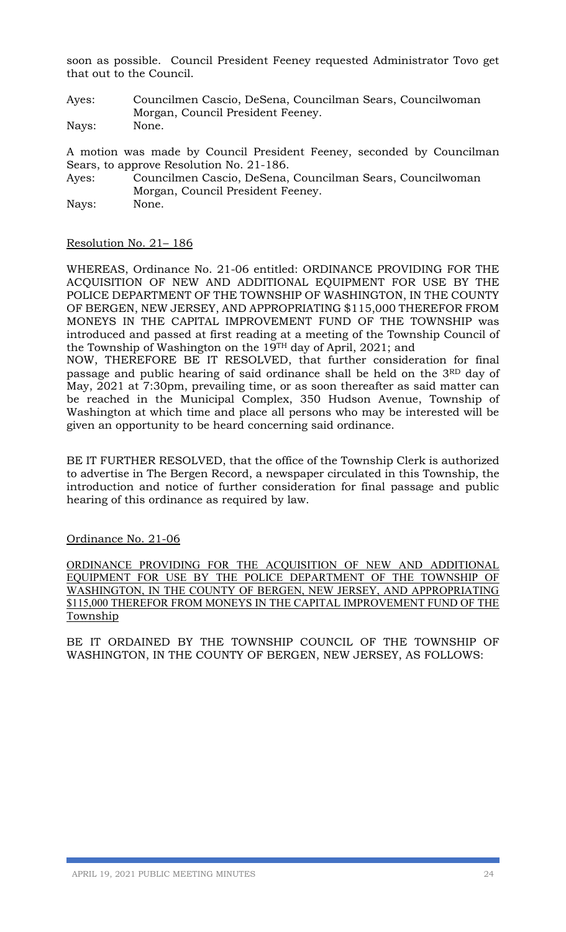soon as possible. Council President Feeney requested Administrator Tovo get that out to the Council.

Ayes: Councilmen Cascio, DeSena, Councilman Sears, Councilwoman Morgan, Council President Feeney. Nays: None.

A motion was made by Council President Feeney, seconded by Councilman Sears, to approve Resolution No. 21-186.

Ayes: Councilmen Cascio, DeSena, Councilman Sears, Councilwoman Morgan, Council President Feeney. Nays: None.

## Resolution No. 21– 186

WHEREAS, Ordinance No. 21-06 entitled: ORDINANCE PROVIDING FOR THE ACQUISITION OF NEW AND ADDITIONAL EQUIPMENT FOR USE BY THE POLICE DEPARTMENT OF THE TOWNSHIP OF WASHINGTON, IN THE COUNTY OF BERGEN, NEW JERSEY, AND APPROPRIATING \$115,000 THEREFOR FROM MONEYS IN THE CAPITAL IMPROVEMENT FUND OF THE TOWNSHIP was introduced and passed at first reading at a meeting of the Township Council of the Township of Washington on the 19TH day of April, 2021; and

NOW, THEREFORE BE IT RESOLVED, that further consideration for final passage and public hearing of said ordinance shall be held on the 3RD day of May, 2021 at 7:30pm, prevailing time, or as soon thereafter as said matter can be reached in the Municipal Complex, 350 Hudson Avenue, Township of Washington at which time and place all persons who may be interested will be given an opportunity to be heard concerning said ordinance.

BE IT FURTHER RESOLVED, that the office of the Township Clerk is authorized to advertise in The Bergen Record, a newspaper circulated in this Township, the introduction and notice of further consideration for final passage and public hearing of this ordinance as required by law.

## Ordinance No. 21-06

ORDINANCE PROVIDING FOR THE ACQUISITION OF NEW AND ADDITIONAL EQUIPMENT FOR USE BY THE POLICE DEPARTMENT OF THE TOWNSHIP OF WASHINGTON, IN THE COUNTY OF BERGEN, NEW JERSEY, AND APPROPRIATING \$115,000 THEREFOR FROM MONEYS IN THE CAPITAL IMPROVEMENT FUND OF THE Township

BE IT ORDAINED BY THE TOWNSHIP COUNCIL OF THE TOWNSHIP OF WASHINGTON, IN THE COUNTY OF BERGEN, NEW JERSEY, AS FOLLOWS: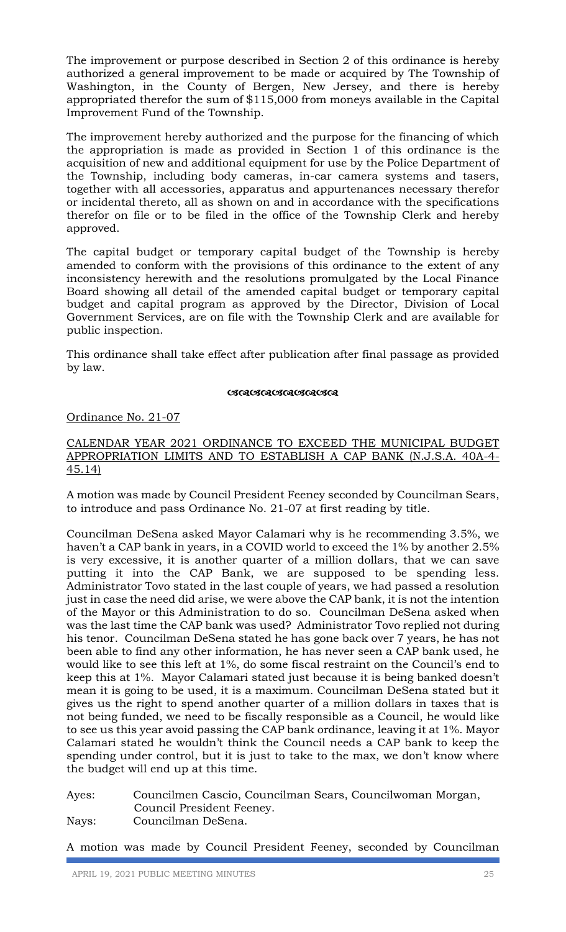The improvement or purpose described in Section 2 of this ordinance is hereby authorized a general improvement to be made or acquired by The Township of Washington, in the County of Bergen, New Jersey, and there is hereby appropriated therefor the sum of \$115,000 from moneys available in the Capital Improvement Fund of the Township.

The improvement hereby authorized and the purpose for the financing of which the appropriation is made as provided in Section 1 of this ordinance is the acquisition of new and additional equipment for use by the Police Department of the Township, including body cameras, in-car camera systems and tasers, together with all accessories, apparatus and appurtenances necessary therefor or incidental thereto, all as shown on and in accordance with the specifications therefor on file or to be filed in the office of the Township Clerk and hereby approved.

The capital budget or temporary capital budget of the Township is hereby amended to conform with the provisions of this ordinance to the extent of any inconsistency herewith and the resolutions promulgated by the Local Finance Board showing all detail of the amended capital budget or temporary capital budget and capital program as approved by the Director, Division of Local Government Services, are on file with the Township Clerk and are available for public inspection.

This ordinance shall take effect after publication after final passage as provided by law.

## **GRAGGAR GRAGGA**

## Ordinance No. 21-07

## CALENDAR YEAR 2021 ORDINANCE TO EXCEED THE MUNICIPAL BUDGET APPROPRIATION LIMITS AND TO ESTABLISH A CAP BANK (N.J.S.A. 40A-4- 45.14)

A motion was made by Council President Feeney seconded by Councilman Sears, to introduce and pass Ordinance No. 21-07 at first reading by title.

Councilman DeSena asked Mayor Calamari why is he recommending 3.5%, we haven't a CAP bank in years, in a COVID world to exceed the 1% by another 2.5% is very excessive, it is another quarter of a million dollars, that we can save putting it into the CAP Bank, we are supposed to be spending less. Administrator Tovo stated in the last couple of years, we had passed a resolution just in case the need did arise, we were above the CAP bank, it is not the intention of the Mayor or this Administration to do so. Councilman DeSena asked when was the last time the CAP bank was used? Administrator Tovo replied not during his tenor. Councilman DeSena stated he has gone back over 7 years, he has not been able to find any other information, he has never seen a CAP bank used, he would like to see this left at 1%, do some fiscal restraint on the Council's end to keep this at 1%. Mayor Calamari stated just because it is being banked doesn't mean it is going to be used, it is a maximum. Councilman DeSena stated but it gives us the right to spend another quarter of a million dollars in taxes that is not being funded, we need to be fiscally responsible as a Council, he would like to see us this year avoid passing the CAP bank ordinance, leaving it at 1%. Mayor Calamari stated he wouldn't think the Council needs a CAP bank to keep the spending under control, but it is just to take to the max, we don't know where the budget will end up at this time.

Ayes: Councilmen Cascio, Councilman Sears, Councilwoman Morgan, Council President Feeney.

Nays: Councilman DeSena.

A motion was made by Council President Feeney, seconded by Councilman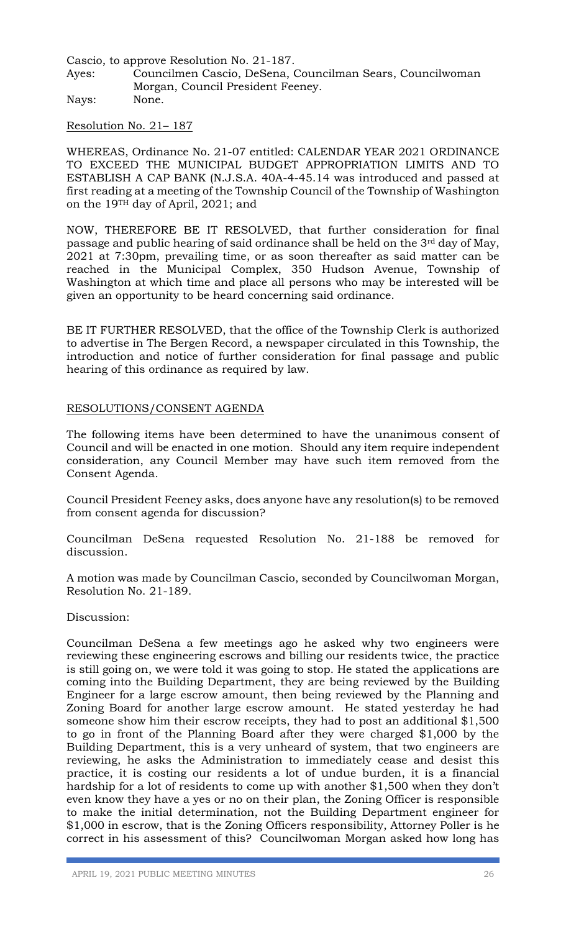Cascio, to approve Resolution No. 21-187.

Ayes: Councilmen Cascio, DeSena, Councilman Sears, Councilwoman Morgan, Council President Feeney.

Nays: None.

Resolution No. 21– 187

WHEREAS, Ordinance No. 21-07 entitled: CALENDAR YEAR 2021 ORDINANCE TO EXCEED THE MUNICIPAL BUDGET APPROPRIATION LIMITS AND TO ESTABLISH A CAP BANK (N.J.S.A. 40A-4-45.14 was introduced and passed at first reading at a meeting of the Township Council of the Township of Washington on the 19TH day of April, 2021; and

NOW, THEREFORE BE IT RESOLVED, that further consideration for final passage and public hearing of said ordinance shall be held on the 3rd day of May, 2021 at 7:30pm, prevailing time, or as soon thereafter as said matter can be reached in the Municipal Complex, 350 Hudson Avenue, Township of Washington at which time and place all persons who may be interested will be given an opportunity to be heard concerning said ordinance.

BE IT FURTHER RESOLVED, that the office of the Township Clerk is authorized to advertise in The Bergen Record, a newspaper circulated in this Township, the introduction and notice of further consideration for final passage and public hearing of this ordinance as required by law.

## RESOLUTIONS/CONSENT AGENDA

The following items have been determined to have the unanimous consent of Council and will be enacted in one motion. Should any item require independent consideration, any Council Member may have such item removed from the Consent Agenda.

Council President Feeney asks, does anyone have any resolution(s) to be removed from consent agenda for discussion?

Councilman DeSena requested Resolution No. 21-188 be removed for discussion.

A motion was made by Councilman Cascio, seconded by Councilwoman Morgan, Resolution No. 21-189.

Discussion:

Councilman DeSena a few meetings ago he asked why two engineers were reviewing these engineering escrows and billing our residents twice, the practice is still going on, we were told it was going to stop. He stated the applications are coming into the Building Department, they are being reviewed by the Building Engineer for a large escrow amount, then being reviewed by the Planning and Zoning Board for another large escrow amount. He stated yesterday he had someone show him their escrow receipts, they had to post an additional \$1,500 to go in front of the Planning Board after they were charged \$1,000 by the Building Department, this is a very unheard of system, that two engineers are reviewing, he asks the Administration to immediately cease and desist this practice, it is costing our residents a lot of undue burden, it is a financial hardship for a lot of residents to come up with another \$1,500 when they don't even know they have a yes or no on their plan, the Zoning Officer is responsible to make the initial determination, not the Building Department engineer for \$1,000 in escrow, that is the Zoning Officers responsibility, Attorney Poller is he correct in his assessment of this? Councilwoman Morgan asked how long has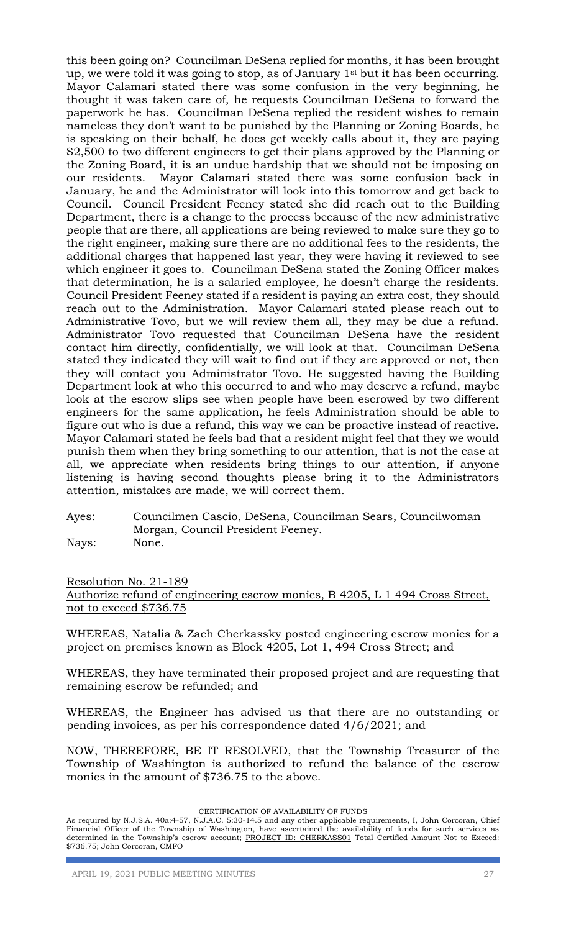this been going on? Councilman DeSena replied for months, it has been brought up, we were told it was going to stop, as of January  $1<sup>st</sup>$  but it has been occurring. Mayor Calamari stated there was some confusion in the very beginning, he thought it was taken care of, he requests Councilman DeSena to forward the paperwork he has. Councilman DeSena replied the resident wishes to remain nameless they don't want to be punished by the Planning or Zoning Boards, he is speaking on their behalf, he does get weekly calls about it, they are paying \$2,500 to two different engineers to get their plans approved by the Planning or the Zoning Board, it is an undue hardship that we should not be imposing on our residents. Mayor Calamari stated there was some confusion back in January, he and the Administrator will look into this tomorrow and get back to Council. Council President Feeney stated she did reach out to the Building Department, there is a change to the process because of the new administrative people that are there, all applications are being reviewed to make sure they go to the right engineer, making sure there are no additional fees to the residents, the additional charges that happened last year, they were having it reviewed to see which engineer it goes to. Councilman DeSena stated the Zoning Officer makes that determination, he is a salaried employee, he doesn't charge the residents. Council President Feeney stated if a resident is paying an extra cost, they should reach out to the Administration. Mayor Calamari stated please reach out to Administrative Tovo, but we will review them all, they may be due a refund. Administrator Tovo requested that Councilman DeSena have the resident contact him directly, confidentially, we will look at that. Councilman DeSena stated they indicated they will wait to find out if they are approved or not, then they will contact you Administrator Tovo. He suggested having the Building Department look at who this occurred to and who may deserve a refund, maybe look at the escrow slips see when people have been escrowed by two different engineers for the same application, he feels Administration should be able to figure out who is due a refund, this way we can be proactive instead of reactive. Mayor Calamari stated he feels bad that a resident might feel that they we would punish them when they bring something to our attention, that is not the case at all, we appreciate when residents bring things to our attention, if anyone listening is having second thoughts please bring it to the Administrators attention, mistakes are made, we will correct them.

# Ayes: Councilmen Cascio, DeSena, Councilman Sears, Councilwoman Morgan, Council President Feeney.

Nays: None.

## Resolution No. 21-189 Authorize refund of engineering escrow monies, B 4205, L 1 494 Cross Street, not to exceed \$736.75

WHEREAS, Natalia & Zach Cherkassky posted engineering escrow monies for a project on premises known as Block 4205, Lot 1, 494 Cross Street; and

WHEREAS, they have terminated their proposed project and are requesting that remaining escrow be refunded; and

WHEREAS, the Engineer has advised us that there are no outstanding or pending invoices, as per his correspondence dated 4/6/2021; and

NOW, THEREFORE, BE IT RESOLVED, that the Township Treasurer of the Township of Washington is authorized to refund the balance of the escrow monies in the amount of \$736.75 to the above.

#### CERTIFICATION OF AVAILABILITY OF FUNDS

As required by N.J.S.A. 40a:4-57, N.J.A.C. 5:30-14.5 and any other applicable requirements, I, John Corcoran, Chief Financial Officer of the Township of Washington, have ascertained the availability of funds for such services as determined in the Township's escrow account; PROJECT ID: CHERKASS01 Total Certified Amount Not to Exceed: \$736.75; John Corcoran, CMFO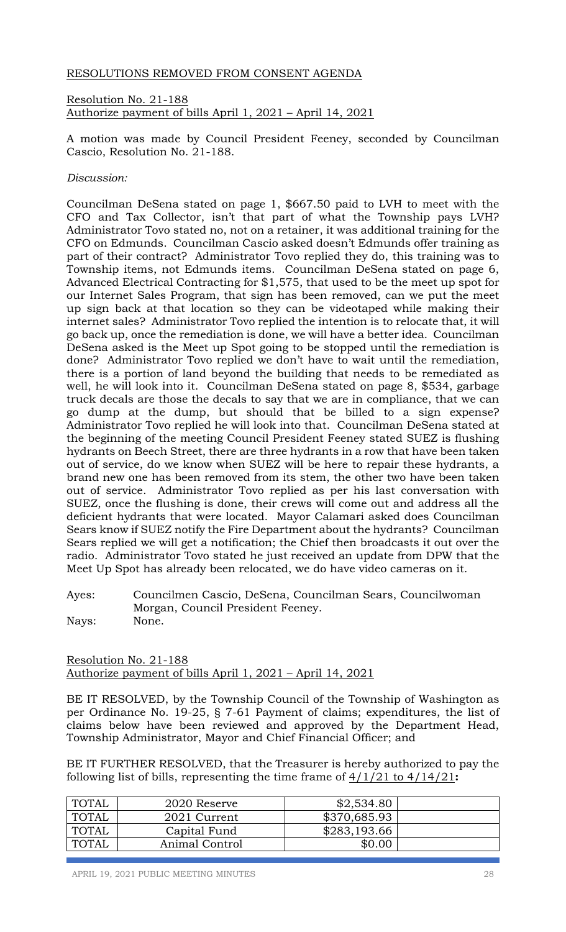## RESOLUTIONS REMOVED FROM CONSENT AGENDA

Resolution No. 21-188 Authorize payment of bills April 1, 2021 – April 14, 2021

A motion was made by Council President Feeney, seconded by Councilman Cascio, Resolution No. 21-188.

## *Discussion:*

Councilman DeSena stated on page 1, \$667.50 paid to LVH to meet with the CFO and Tax Collector, isn't that part of what the Township pays LVH? Administrator Tovo stated no, not on a retainer, it was additional training for the CFO on Edmunds. Councilman Cascio asked doesn't Edmunds offer training as part of their contract? Administrator Tovo replied they do, this training was to Township items, not Edmunds items. Councilman DeSena stated on page 6, Advanced Electrical Contracting for \$1,575, that used to be the meet up spot for our Internet Sales Program, that sign has been removed, can we put the meet up sign back at that location so they can be videotaped while making their internet sales? Administrator Tovo replied the intention is to relocate that, it will go back up, once the remediation is done, we will have a better idea. Councilman DeSena asked is the Meet up Spot going to be stopped until the remediation is done? Administrator Tovo replied we don't have to wait until the remediation, there is a portion of land beyond the building that needs to be remediated as well, he will look into it. Councilman DeSena stated on page 8, \$534, garbage truck decals are those the decals to say that we are in compliance, that we can go dump at the dump, but should that be billed to a sign expense? Administrator Tovo replied he will look into that. Councilman DeSena stated at the beginning of the meeting Council President Feeney stated SUEZ is flushing hydrants on Beech Street, there are three hydrants in a row that have been taken out of service, do we know when SUEZ will be here to repair these hydrants, a brand new one has been removed from its stem, the other two have been taken out of service. Administrator Tovo replied as per his last conversation with SUEZ, once the flushing is done, their crews will come out and address all the deficient hydrants that were located. Mayor Calamari asked does Councilman Sears know if SUEZ notify the Fire Department about the hydrants? Councilman Sears replied we will get a notification; the Chief then broadcasts it out over the radio. Administrator Tovo stated he just received an update from DPW that the Meet Up Spot has already been relocated, we do have video cameras on it.

Ayes: Councilmen Cascio, DeSena, Councilman Sears, Councilwoman Morgan, Council President Feeney. Nays: None.

Resolution No. 21-188 Authorize payment of bills April 1, 2021 – April 14, 2021

BE IT RESOLVED, by the Township Council of the Township of Washington as per Ordinance No. 19-25, § 7-61 Payment of claims; expenditures, the list of claims below have been reviewed and approved by the Department Head, Township Administrator, Mayor and Chief Financial Officer; and

BE IT FURTHER RESOLVED, that the Treasurer is hereby authorized to pay the following list of bills, representing the time frame of 4/1/21 to 4/14/21**:**

| <b>TOTAL</b> | 2020 Reserve   | \$2,534.80   |  |
|--------------|----------------|--------------|--|
| TOTAL        | 2021 Current   | \$370,685.93 |  |
| TOTAL        | Capital Fund   | \$283,193.66 |  |
| TOTAL        | Animal Control | \$0.00       |  |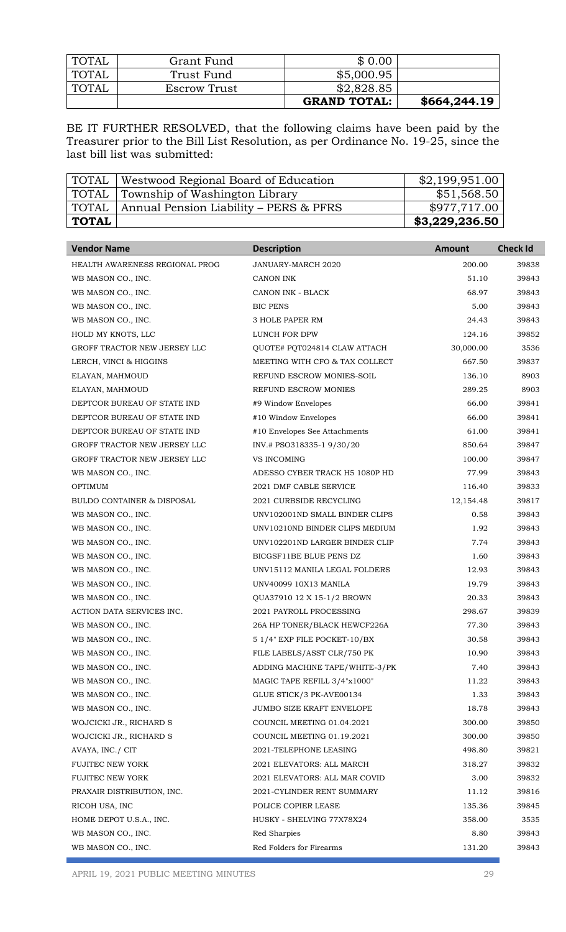| I TOTAL | Grant Fund   | \$0.00              |              |
|---------|--------------|---------------------|--------------|
| TOTAL   | Trust Fund   | \$5,000.95          |              |
| TOTAL   | Escrow Trust | \$2,828.85          |              |
|         |              | <b>GRAND TOTAL:</b> | \$664,244.19 |

BE IT FURTHER RESOLVED, that the following claims have been paid by the Treasurer prior to the Bill List Resolution, as per Ordinance No. 19-25, since the last bill list was submitted:

| <b>TOTAL</b> | Westwood Regional Board of Education   | \$2,199,951.00 |
|--------------|----------------------------------------|----------------|
| TOTAL        | Township of Washington Library         | \$51,568.50    |
| TOTAL        | Annual Pension Liability – PERS & PFRS | \$977,717.00   |
| TOTAL        |                                        | \$3,229,236.50 |

| <b>Vendor Name</b>                    | <b>Description</b>             | <b>Amount</b> | <b>Check Id</b> |
|---------------------------------------|--------------------------------|---------------|-----------------|
| HEALTH AWARENESS REGIONAL PROG        | JANUARY-MARCH 2020             | 200.00        | 39838           |
| WB MASON CO., INC.                    | <b>CANON INK</b>               | 51.10         | 39843           |
| WB MASON CO., INC.                    | CANON INK - BLACK              | 68.97         | 39843           |
| WB MASON CO., INC.                    | <b>BIC PENS</b>                | 5.00          | 39843           |
| WB MASON CO., INC.                    | <b>3 HOLE PAPER RM</b>         | 24.43         | 39843           |
| HOLD MY KNOTS, LLC                    | LUNCH FOR DPW                  | 124.16        | 39852           |
| GROFF TRACTOR NEW JERSEY LLC          | QUOTE# POT024814 CLAW ATTACH   | 30,000.00     | 3536            |
| LERCH, VINCI & HIGGINS                | MEETING WITH CFO & TAX COLLECT | 667.50        | 39837           |
| ELAYAN, MAHMOUD                       | REFUND ESCROW MONIES-SOIL      | 136.10        | 8903            |
| ELAYAN, MAHMOUD                       | REFUND ESCROW MONIES           | 289.25        | 8903            |
| DEPTCOR BUREAU OF STATE IND           | #9 Window Envelopes            | 66.00         | 39841           |
| DEPTCOR BUREAU OF STATE IND           | #10 Window Envelopes           | 66.00         | 39841           |
| DEPTCOR BUREAU OF STATE IND           | #10 Envelopes See Attachments  | 61.00         | 39841           |
| GROFF TRACTOR NEW JERSEY LLC          | INV.# PSO318335-1 9/30/20      | 850.64        | 39847           |
| GROFF TRACTOR NEW JERSEY LLC          | <b>VS INCOMING</b>             | 100.00        | 39847           |
| WB MASON CO., INC.                    | ADESSO CYBER TRACK H5 1080P HD | 77.99         | 39843           |
| <b>OPTIMUM</b>                        | 2021 DMF CABLE SERVICE         | 116.40        | 39833           |
| <b>BULDO CONTAINER &amp; DISPOSAL</b> | 2021 CURBSIDE RECYCLING        | 12,154.48     | 39817           |
| WB MASON CO., INC.                    | UNV102001ND SMALL BINDER CLIPS | 0.58          | 39843           |
| WB MASON CO., INC.                    | UNV10210ND BINDER CLIPS MEDIUM | 1.92          | 39843           |
| WB MASON CO., INC.                    | UNV102201ND LARGER BINDER CLIP | 7.74          | 39843           |
| WB MASON CO., INC.                    | BICGSF11BE BLUE PENS DZ        | 1.60          | 39843           |
| WB MASON CO., INC.                    | UNV15112 MANILA LEGAL FOLDERS  | 12.93         | 39843           |
| WB MASON CO., INC.                    | UNV40099 10X13 MANILA          | 19.79         | 39843           |
| WB MASON CO., INC.                    | QUA37910 12 X 15-1/2 BROWN     | 20.33         | 39843           |
| ACTION DATA SERVICES INC.             | 2021 PAYROLL PROCESSING        | 298.67        | 39839           |
| WB MASON CO., INC.                    | 26A HP TONER/BLACK HEWCF226A   | 77.30         | 39843           |
| WB MASON CO., INC.                    | 5 1/4" EXP FILE POCKET-10/BX   | 30.58         | 39843           |
| WB MASON CO., INC.                    | FILE LABELS/ASST CLR/750 PK    | 10.90         | 39843           |
| WB MASON CO., INC.                    | ADDING MACHINE TAPE/WHITE-3/PK | 7.40          | 39843           |
| WB MASON CO., INC.                    | MAGIC TAPE REFILL 3/4"x1000"   | 11.22         | 39843           |
| WB MASON CO., INC.                    | GLUE STICK/3 PK-AVE00134       | 1.33          | 39843           |
| WB MASON CO., INC.                    | JUMBO SIZE KRAFT ENVELOPE      | 18.78         | 39843           |
| WOJCICKI JR., RICHARD S               | COUNCIL MEETING 01.04.2021     | 300.00        | 39850           |
| WOJCICKI JR., RICHARD S               | COUNCIL MEETING 01.19.2021     | 300.00        | 39850           |
| AVAYA, INC./ CIT                      | 2021-TELEPHONE LEASING         | 498.80        | 39821           |
| FUJITEC NEW YORK                      | 2021 ELEVATORS: ALL MARCH      | 318.27        | 39832           |
| <b>FUJITEC NEW YORK</b>               | 2021 ELEVATORS: ALL MAR COVID  | 3.00          | 39832           |
| PRAXAIR DISTRIBUTION, INC.            | 2021-CYLINDER RENT SUMMARY     | 11.12         | 39816           |
| RICOH USA, INC                        | POLICE COPIER LEASE            | 135.36        | 39845           |
| HOME DEPOT U.S.A., INC.               | HUSKY - SHELVING 77X78X24      | 358.00        | 3535            |
| WB MASON CO., INC.                    | Red Sharpies                   | 8.80          | 39843           |
| WB MASON CO., INC.                    | Red Folders for Firearms       | 131.20        | 39843           |

APRIL 19, 2021 PUBLIC MEETING MINUTES 29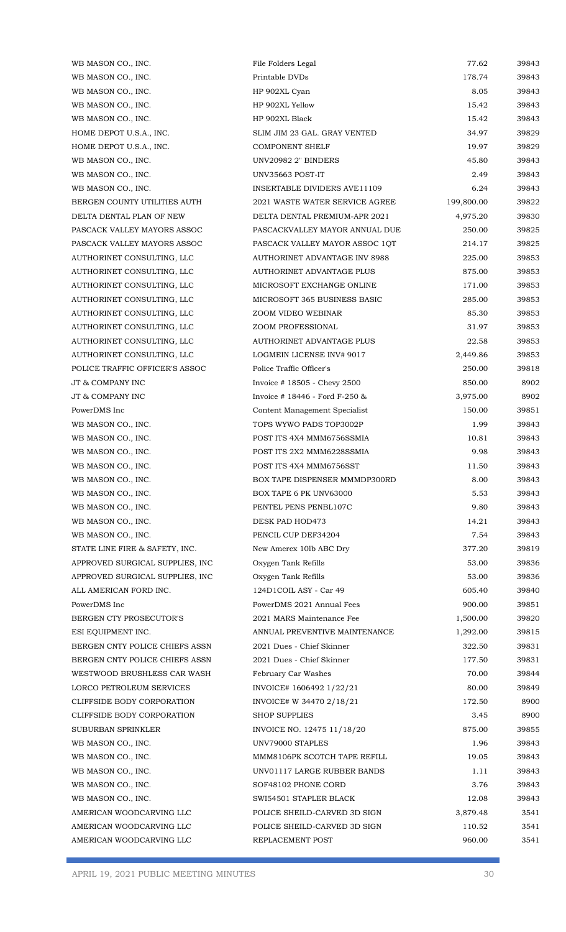| WB MASON CO., INC.              | File Folders Legal                | 77.62      | 39843 |
|---------------------------------|-----------------------------------|------------|-------|
| WB MASON CO., INC.              | Printable DVDs                    | 178.74     | 39843 |
| WB MASON CO., INC.              | HP 902XL Cyan                     | 8.05       | 39843 |
| WB MASON CO., INC.              | HP 902XL Yellow                   | 15.42      | 39843 |
| WB MASON CO., INC.              | HP 902XL Black                    | 15.42      | 39843 |
| HOME DEPOT U.S.A., INC.         | SLIM JIM 23 GAL, GRAY VENTED      | 34.97      | 39829 |
| HOME DEPOT U.S.A., INC.         | <b>COMPONENT SHELF</b>            | 19.97      | 39829 |
| WB MASON CO., INC.              | UNV20982 2" BINDERS               | 45.80      | 39843 |
| WB MASON CO., INC.              | UNV35663 POST-IT                  | 2.49       | 39843 |
| WB MASON CO., INC.              | INSERTABLE DIVIDERS AVE11109      | 6.24       | 39843 |
| BERGEN COUNTY UTILITIES AUTH    | 2021 WASTE WATER SERVICE AGREE    | 199,800.00 | 39822 |
| DELTA DENTAL PLAN OF NEW        | DELTA DENTAL PREMIUM-APR 2021     | 4,975.20   | 39830 |
| PASCACK VALLEY MAYORS ASSOC     | PASCACKVALLEY MAYOR ANNUAL DUE    | 250.00     | 39825 |
| PASCACK VALLEY MAYORS ASSOC     | PASCACK VALLEY MAYOR ASSOC 10T    | 214.17     | 39825 |
| AUTHORINET CONSULTING, LLC      | AUTHORINET ADVANTAGE INV 8988     | 225.00     | 39853 |
| AUTHORINET CONSULTING, LLC      | AUTHORINET ADVANTAGE PLUS         | 875.00     | 39853 |
| AUTHORINET CONSULTING, LLC      | MICROSOFT EXCHANGE ONLINE         | 171.00     | 39853 |
| AUTHORINET CONSULTING, LLC      | MICROSOFT 365 BUSINESS BASIC      | 285.00     | 39853 |
| AUTHORINET CONSULTING, LLC      | ZOOM VIDEO WEBINAR                | 85.30      | 39853 |
| AUTHORINET CONSULTING, LLC      | ZOOM PROFESSIONAL                 | 31.97      | 39853 |
| AUTHORINET CONSULTING, LLC      | AUTHORINET ADVANTAGE PLUS         | 22.58      | 39853 |
| AUTHORINET CONSULTING, LLC      | <b>LOGMEIN LICENSE INV# 9017</b>  | 2,449.86   | 39853 |
| POLICE TRAFFIC OFFICER'S ASSOC  | Police Traffic Officer's          | 250.00     | 39818 |
| JT & COMPANY INC                | Invoice $\#$ 18505 - Chevy 2500   | 850.00     | 8902  |
| JT & COMPANY INC                | Invoice $\#$ 18446 - Ford F-250 & | 3,975.00   | 8902  |
| PowerDMS Inc                    | Content Management Specialist     | 150.00     | 39851 |
| WB MASON CO., INC.              | TOPS WYWO PADS TOP3002P           | 1.99       | 39843 |
| WB MASON CO., INC.              | POST ITS 4X4 MMM6756SSMIA         | 10.81      | 39843 |
| WB MASON CO., INC.              | POST ITS 2X2 MMM6228SSMIA         | 9.98       | 39843 |
| WB MASON CO., INC.              | POST ITS 4X4 MMM6756SST           | 11.50      | 39843 |
| WB MASON CO., INC.              | BOX TAPE DISPENSER MMMDP300RD     | 8.00       | 39843 |
| WB MASON CO., INC.              | BOX TAPE 6 PK UNV63000            | 5.53       | 39843 |
| WB MASON CO., INC.              | PENTEL PENS PENBL107C             | 9.80       | 39843 |
| WB MASON CO., INC.              | DESK PAD HOD473                   | 14.21      | 39843 |
| WB MASON CO., INC.              | PENCIL CUP DEF34204               | 7.54       | 39843 |
| STATE LINE FIRE & SAFETY, INC.  | New Amerex 101b ABC Dry           | 377.20     | 39819 |
| APPROVED SURGICAL SUPPLIES, INC | Oxygen Tank Refills               | 53.00      | 39836 |
| APPROVED SURGICAL SUPPLIES, INC | Oxygen Tank Refills               | 53.00      | 39836 |
| ALL AMERICAN FORD INC.          | 124D1COIL ASY - Car 49            | 605.40     | 39840 |
| PowerDMS Inc                    | PowerDMS 2021 Annual Fees         | 900.00     | 39851 |
| BERGEN CTY PROSECUTOR'S         | 2021 MARS Maintenance Fee         | 1,500.00   | 39820 |
| ESI EQUIPMENT INC.              | ANNUAL PREVENTIVE MAINTENANCE     | 1,292.00   | 39815 |
| BERGEN CNTY POLICE CHIEFS ASSN  | 2021 Dues - Chief Skinner         | 322.50     | 39831 |
| BERGEN CNTY POLICE CHIEFS ASSN  | 2021 Dues - Chief Skinner         | 177.50     | 39831 |
| WESTWOOD BRUSHLESS CAR WASH     | February Car Washes               | 70.00      | 39844 |
| LORCO PETROLEUM SERVICES        | INVOICE# 1606492 1/22/21          | 80.00      | 39849 |
| CLIFFSIDE BODY CORPORATION      | INVOICE# W 34470 2/18/21          | 172.50     | 8900  |
| CLIFFSIDE BODY CORPORATION      | <b>SHOP SUPPLIES</b>              | 3.45       | 8900  |
| SUBURBAN SPRINKLER              | INVOICE NO. 12475 11/18/20        | 875.00     | 39855 |
| WB MASON CO., INC.              | UNV79000 STAPLES                  | 1.96       | 39843 |
| WB MASON CO., INC.              | MMM8106PK SCOTCH TAPE REFILL      | 19.05      | 39843 |
| WB MASON CO., INC.              | UNV01117 LARGE RUBBER BANDS       | 1.11       | 39843 |
| WB MASON CO., INC.              | SOF48102 PHONE CORD               | 3.76       | 39843 |
| WB MASON CO., INC.              | SWI54501 STAPLER BLACK            | 12.08      | 39843 |
| AMERICAN WOODCARVING LLC        | POLICE SHEILD-CARVED 3D SIGN      | 3,879.48   | 3541  |
| AMERICAN WOODCARVING LLC        | POLICE SHEILD-CARVED 3D SIGN      | 110.52     | 3541  |
| AMERICAN WOODCARVING LLC        | REPLACEMENT POST                  | 960.00     | 3541  |

F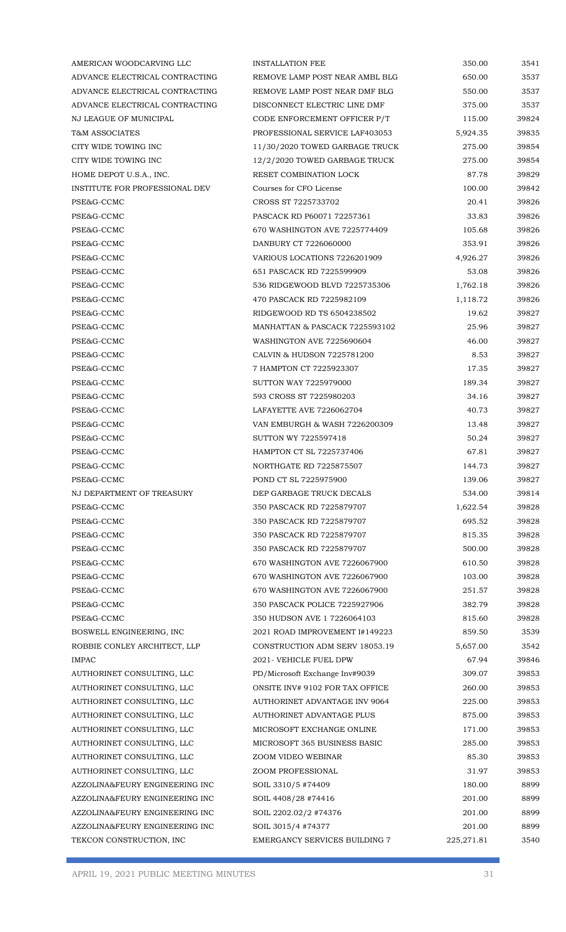| AMERICAN WOODCARVING LLC       | <b>INSTALLATION FEE</b>         | 350.00      | 3541  |
|--------------------------------|---------------------------------|-------------|-------|
| ADVANCE ELECTRICAL CONTRACTING | REMOVE LAMP POST NEAR AMBL BLG  | 650.00      | 3537  |
| ADVANCE ELECTRICAL CONTRACTING | REMOVE LAMP POST NEAR DMF BLG   | 550.00      | 3537  |
| ADVANCE ELECTRICAL CONTRACTING | DISCONNECT ELECTRIC LINE DMF    | 375.00      | 3537  |
| NJ LEAGUE OF MUNICIPAL         | CODE ENFORCEMENT OFFICER P/T    | 115.00      | 39824 |
| <b>T&amp;M ASSOCIATES</b>      | PROFESSIONAL SERVICE LAF403053  | 5,924.35    | 39835 |
| CITY WIDE TOWING INC           | 11/30/2020 TOWED GARBAGE TRUCK  | 275.00      | 39854 |
| CITY WIDE TOWING INC           | 12/2/2020 TOWED GARBAGE TRUCK   | 275.00      | 39854 |
| HOME DEPOT U.S.A., INC.        | RESET COMBINATION LOCK          | 87.78       | 39829 |
| INSTITUTE FOR PROFESSIONAL DEV | Courses for CFO License         | 100.00      | 39842 |
| PSE&G-CCMC                     | CROSS ST 7225733702             | 20.41       | 39826 |
| PSE&G-CCMC                     | PASCACK RD P60071 72257361      | 33.83       | 39826 |
| PSE&G-CCMC                     | 670 WASHINGTON AVE 7225774409   | 105.68      | 39826 |
| PSE&G-CCMC                     | DANBURY CT 7226060000           | 353.91      | 39826 |
| PSE&G-CCMC                     | VARIOUS LOCATIONS 7226201909    | 4,926.27    | 39826 |
| PSE&G-CCMC                     | 651 PASCACK RD 7225599909       | 53.08       | 39826 |
| PSE&G-CCMC                     | 536 RIDGEWOOD BLVD 7225735306   | 1,762.18    | 39826 |
| PSE&G-CCMC                     | 470 PASCACK RD 7225982109       | 1,118.72    | 39826 |
| PSE&G-CCMC                     | RIDGEWOOD RD TS 6504238502      | 19.62       | 39827 |
| PSE&G-CCMC                     | MANHATTAN & PASCACK 7225593102  | 25.96       | 39827 |
| PSE&G-CCMC                     | WASHINGTON AVE 7225690604       | 46.00       | 39827 |
| PSE&G-CCMC                     | CALVIN & HUDSON 7225781200      | 8.53        | 39827 |
| PSE&G-CCMC                     | 7 HAMPTON CT 7225923307         | 17.35       | 39827 |
| PSE&G-CCMC                     | <b>SUTTON WAY 7225979000</b>    | 189.34      | 39827 |
| PSE&G-CCMC                     | 593 CROSS ST 7225980203         | 34.16       | 39827 |
| PSE&G-CCMC                     | LAFAYETTE AVE 7226062704        | 40.73       | 39827 |
| PSE&G-CCMC                     | VAN EMBURGH & WASH 7226200309   | 13.48       | 39827 |
| PSE&G-CCMC                     | SUTTON WY 7225597418            | 50.24       | 39827 |
| PSE&G-CCMC                     | <b>HAMPTON CT SL 7225737406</b> | 67.81       | 39827 |
| PSE&G-CCMC                     | NORTHGATE RD 7225875507         | 144.73      | 39827 |
| PSE&G-CCMC                     | POND CT SL 7225975900           | 139.06      | 39827 |
| NJ DEPARTMENT OF TREASURY      | DEP GARBAGE TRUCK DECALS        | 534.00      | 39814 |
| PSE&G-CCMC                     | 350 PASCACK RD 7225879707       | 1,622.54    | 39828 |
| PSE&G-CCMC                     | 350 PASCACK RD 7225879707       | 695.52      | 39828 |
| PSE&G-CCMC                     | 350 PASCACK RD 7225879707       | 815.35      | 39828 |
| PSE&G-CCMC                     | 350 PASCACK RD 7225879707       | 500.00      | 39828 |
| PSE&G-CCMC                     | 670 WASHINGTON AVE 7226067900   | 610.50      | 39828 |
| PSE&G-CCMC                     | 670 WASHINGTON AVE 7226067900   | 103.00      | 39828 |
| PSE&G-CCMC                     | 670 WASHINGTON AVE 7226067900   | 251.57      | 39828 |
| PSE&G-CCMC                     | 350 PASCACK POLICE 7225927906   | 382.79      | 39828 |
| PSE&G-CCMC                     | 350 HUDSON AVE 1 7226064103     | 815.60      | 39828 |
| BOSWELL ENGINEERING, INC       | 2021 ROAD IMPROVEMENT I#149223  | 859.50      | 3539  |
| ROBBIE CONLEY ARCHITECT, LLP   | CONSTRUCTION ADM SERV 18053.19  | 5,657.00    | 3542  |
| <b>IMPAC</b>                   | 2021 - VEHICLE FUEL DPW         | 67.94       | 39846 |
| AUTHORINET CONSULTING, LLC     | PD/Microsoft Exchange Inv#9039  | 309.07      | 39853 |
| AUTHORINET CONSULTING, LLC     | ONSITE INV# 9102 FOR TAX OFFICE | 260.00      | 39853 |
| AUTHORINET CONSULTING, LLC     | AUTHORINET ADVANTAGE INV 9064   | 225.00      | 39853 |
| AUTHORINET CONSULTING, LLC     | AUTHORINET ADVANTAGE PLUS       | 875.00      | 39853 |
| AUTHORINET CONSULTING, LLC     | MICROSOFT EXCHANGE ONLINE       | 171.00      | 39853 |
| AUTHORINET CONSULTING, LLC     | MICROSOFT 365 BUSINESS BASIC    | 285.00      | 39853 |
| AUTHORINET CONSULTING, LLC     | ZOOM VIDEO WEBINAR              | 85.30       | 39853 |
| AUTHORINET CONSULTING, LLC     | <b>ZOOM PROFESSIONAL</b>        | 31.97       | 39853 |
| AZZOLINA&FEURY ENGINEERING INC | SOIL 3310/5 #74409              | 180.00      | 8899  |
| AZZOLINA&FEURY ENGINEERING INC | SOIL 4408/28 #74416             | 201.00      | 8899  |
| AZZOLINA&FEURY ENGINEERING INC | SOIL 2202.02/2 #74376           | 201.00      | 8899  |
| AZZOLINA&FEURY ENGINEERING INC | SOIL 3015/4 #74377              | 201.00      | 8899  |
| TEKCON CONSTRUCTION, INC       | EMERGANCY SERVICES BUILDING 7   | 225, 271.81 | 3540  |

F